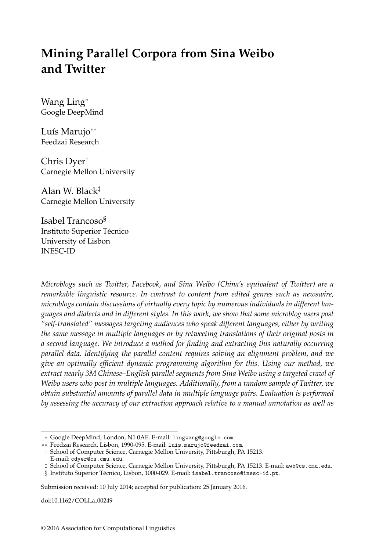# **Mining Parallel Corpora from Sina Weibo and Twitter**

Wang Ling<sup>∗</sup> Google DeepMind

Luís Marujo<sup>\*\*</sup> Feedzai Research

Chris Dyer† Carnegie Mellon University

Alan W. Black‡ Carnegie Mellon University

Isabel Trancoso§ Instituto Superior Técnico University of Lisbon INESC-ID

*Microblogs such as Twitter, Facebook, and Sina Weibo (China's equivalent of Twitter) are a remarkable linguistic resource. In contrast to content from edited genres such as newswire, microblogs contain discussions of virtually every topic by numerous individuals in different languages and dialects and in different styles. In this work, we show that some microblog users post "self-translated" messages targeting audiences who speak different languages, either by writing the same message in multiple languages or by retweeting translations of their original posts in a second language. We introduce a method for finding and extracting this naturally occurring parallel data. Identifying the parallel content requires solving an alignment problem, and we give an optimally efficient dynamic programming algorithm for this. Using our method, we extract nearly 3M Chinese–English parallel segments from Sina Weibo using a targeted crawl of Weibo users who post in multiple languages. Additionally, from a random sample of Twitter, we obtain substantial amounts of parallel data in multiple language pairs. Evaluation is performed by assessing the accuracy of our extraction approach relative to a manual annotation as well as*

Submission received: 10 July 2014; accepted for publication: 25 January 2016.

doi:10.1162/COLI a 00249

<sup>∗</sup> Google DeepMind, London, N1 0AE. E-mail: lingwang@google.com.

<sup>∗∗</sup> Feedzai Research, Lisbon, 1990-095. E-mail: luis.marujo@feedzai.com.

<sup>†</sup> School of Computer Science, Carnegie Mellon University, Pittsburgh, PA 15213.

E-mail: cdyer@cs.cmu.edu.

<sup>‡</sup> School of Computer Science, Carnegie Mellon University, Pittsburgh, PA 15213. E-mail: awb@cs.cmu.edu.

<sup>§</sup> Instituto Superior Técnico, Lisbon, 1000-029. E-mail: isabel.trancoso@inesc-id.pt.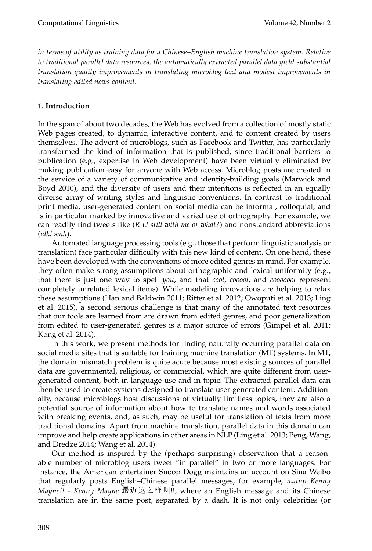*in terms of utility as training data for a Chinese–English machine translation system. Relative to traditional parallel data resources, the automatically extracted parallel data yield substantial translation quality improvements in translating microblog text and modest improvements in translating edited news content.*

### **1. Introduction**

In the span of about two decades, the Web has evolved from a collection of mostly static Web pages created, to dynamic, interactive content, and to content created by users themselves. The advent of microblogs, such as Facebook and Twitter, has particularly transformed the kind of information that is published, since traditional barriers to publication (e.g., expertise in Web development) have been virtually eliminated by making publication easy for anyone with Web access. Microblog posts are created in the service of a variety of communicative and identity-building goals (Marwick and Boyd 2010), and the diversity of users and their intentions is reflected in an equally diverse array of writing styles and linguistic conventions. In contrast to traditional print media, user-generated content on social media can be informal, colloquial, and is in particular marked by innovative and varied use of orthography. For example, we can readily find tweets like (*R U still with me or what?*) and nonstandard abbreviations (*idk! smh*).

Automated language processing tools (e.g., those that perform linguistic analysis or translation) face particular difficulty with this new kind of content. On one hand, these have been developed with the conventions of more edited genres in mind. For example, they often make strong assumptions about orthographic and lexical uniformity (e.g., that there is just one way to spell *you*, and that *cool*, *cooool*, and *cooooool* represent completely unrelated lexical items). While modeling innovations are helping to relax these assumptions (Han and Baldwin 2011; Ritter et al. 2012; Owoputi et al. 2013; Ling et al. 2015), a second serious challenge is that many of the annotated text resources that our tools are learned from are drawn from edited genres, and poor generalization from edited to user-generated genres is a major source of errors (Gimpel et al. 2011; Kong et al. 2014).

In this work, we present methods for finding naturally occurring parallel data on social media sites that is suitable for training machine translation (MT) systems. In MT, the domain mismatch problem is quite acute because most existing sources of parallel data are governmental, religious, or commercial, which are quite different from usergenerated content, both in language use and in topic. The extracted parallel data can then be used to create systems designed to translate user-generated content. Additionally, because microblogs host discussions of virtually limitless topics, they are also a potential source of information about how to translate names and words associated with breaking events, and, as such, may be useful for translation of texts from more traditional domains. Apart from machine translation, parallel data in this domain can improve and help create applications in other areas in NLP (Ling et al. 2013; Peng, Wang, and Dredze 2014; Wang et al. 2014).

Our method is inspired by the (perhaps surprising) observation that a reasonable number of microblog users tweet "in parallel" in two or more languages. For instance, the American entertainer Snoop Dogg maintains an account on Sina Weibo that regularly posts English–Chinese parallel messages, for example, *watup Kenny Mayne!! - Kenny Mayne* 最近这么样啊!!, where an English message and its Chinese translation are in the same post, separated by a dash. It is not only celebrities (or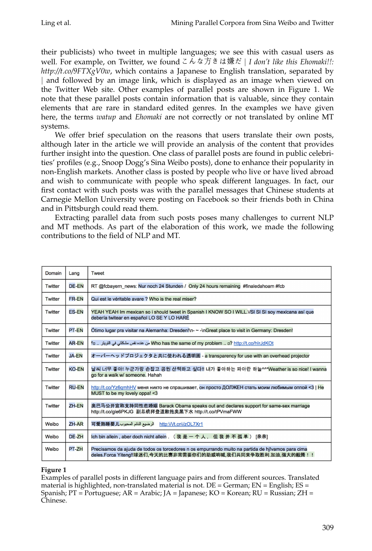their publicists) who tweet in multiple languages; we see this with casual users as well. For example, on Twitter, we found こんな方きは嫌だ | *I don't like this Ehomaki!!: http://t.co/9FTXgV0w*, which contains a Japanese to English translation, separated by | and followed by an image link, which is displayed as an image when viewed on the Twitter Web site. Other examples of parallel posts are shown in Figure 1. We note that these parallel posts contain information that is valuable, since they contain elements that are rare in standard edited genres. In the examples we have given here, the terms *watup* and *Ehomaki* are not correctly or not translated by online MT systems.

We offer brief speculation on the reasons that users translate their own posts, although later in the article we will provide an analysis of the content that provides further insight into the question. One class of parallel posts are found in public celebrities' profiles (e.g., Snoop Dogg's Sina Weibo posts), done to enhance their popularity in non-English markets. Another class is posted by people who live or have lived abroad and wish to communicate with people who speak different languages. In fact, our first contact with such posts was with the parallel messages that Chinese students at Carnegie Mellon University were posting on Facebook so their friends both in China and in Pittsburgh could read them.

Extracting parallel data from such posts poses many challenges to current NLP and MT methods. As part of the elaboration of this work, we made the following contributions to the field of NLP and MT.

| Domain         | Lang         | <b>Tweet</b>                                                                                                                                                       |
|----------------|--------------|--------------------------------------------------------------------------------------------------------------------------------------------------------------------|
| <b>Twitter</b> | DE-EN        | RT @fcbayern_news: Nur noch 24 Stunden / Only 24 hours remaining #finaledahoam #fcb                                                                                |
| <b>Twitter</b> | <b>FR-EN</b> | Qui est le véritable avare ? Who is the real miser?                                                                                                                |
| <b>Twitter</b> | <b>ES-EN</b> | YEAH YEAH Im mexican so i should tweet in Spanish I KNOW SO I WILL.VSI SI SI soy mexicana así que<br>debería twitear en español LO SE Y LO HARÉ                    |
| <b>Twitter</b> | <b>PT-EN</b> | Otimo lugar pra visitar na Alemanha: Dresden!\n- ~ -\nGreat place to visit in Germany: Dresden!                                                                    |
| Twitter        | <b>AR-EN</b> | Who has the same of my problem  a? http://t.co/hlrJdKOt من عنده نفس مشكلتي في التويتر  a. "                                                                        |
| <b>Twitter</b> | <b>JA-EN</b> | オーバーヘッドプロジェクタと共に使われる透明画 - a transparency for use with an overhead projector                                                                                        |
| <b>Twitter</b> | <b>KO-EN</b> | 날씨 너무 좋아! 누군가랑 손잡고 공원 산책하고 싶다!! 내가 좋아하는 파아란 하늘^^*Weather is so nice! I wanna<br>go for a walk w/ someone. Hahah                                                    |
| <b>Twitter</b> | <b>RU-EN</b> | http://t.co/Yz6qmhHV меня никто не спрашивает, он просто ДОЛЖЕН стать моим любимым оппой <3   Не<br>MUST to be my lovely oppa! <3                                  |
| <b>Twitter</b> | ZH-EN        | 奥巴马公开宣称支持同性恋婚姻 Barack Obama speaks out and declares support for same-sex marriage<br>http://t.co/gle6PKJG 副总统拜登道歉拖奥黑下水 http://t.co/tPVmaFWW                        |
| Weibo          | ZH-AR        | الرضيع النائم المحبوب 可爱熟睡婴儿<br>http:///t.cn//zOL7Xr1                                                                                                              |
| Weibo          | DE-ZH        | Ich bin allein, aber doch nicht allein. (我是一个人, 但我并不孤单) [亲亲]                                                                                                       |
| Weibo          | PT-ZH        | Precisamos da ajuda de todos os torcedores n os empurrando muito na partida de hi!vamos para cima<br>deles.Forca Yitenq!!球迷们.今天的比赛非常需要你们的助威呐喊.我们共同来争取胜利.加油.强大的毅腾!! |

#### **Figure 1**

Examples of parallel posts in different language pairs and from different sources. Translated material is highlighted, non-translated material is not.  $DE = German$ ;  $EN = English$ ;  $ES =$ Spanish; PT = Portuguese; AR = Arabic; JA = Japanese; KO = Korean; RU = Russian; ZH = Chinese.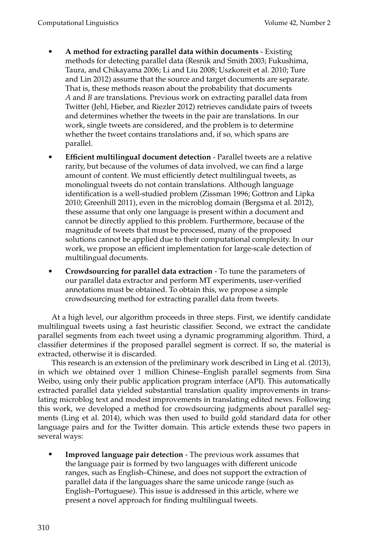- r **A method for extracting parallel data within documents** Existing methods for detecting parallel data (Resnik and Smith 2003; Fukushima, Taura, and Chikayama 2006; Li and Liu 2008; Uszkoreit et al. 2010; Ture and Lin 2012) assume that the source and target documents are separate. That is, these methods reason about the probability that documents *A* and *B* are translations. Previous work on extracting parallel data from Twitter (Jehl, Hieber, and Riezler 2012) retrieves candidate pairs of tweets and determines whether the tweets in the pair are translations. In our work, single tweets are considered, and the problem is to determine whether the tweet contains translations and, if so, which spans are parallel.
- **Efficient multilingual document detection Parallel tweets are a relative** rarity, but because of the volumes of data involved, we can find a large amount of content. We must efficiently detect multilingual tweets, as monolingual tweets do not contain translations. Although language identification is a well-studied problem (Zissman 1996; Gottron and Lipka 2010; Greenhill 2011), even in the microblog domain (Bergsma et al. 2012), these assume that only one language is present within a document and cannot be directly applied to this problem. Furthermore, because of the magnitude of tweets that must be processed, many of the proposed solutions cannot be applied due to their computational complexity. In our work, we propose an efficient implementation for large-scale detection of multilingual documents.
- **Crowdsourcing for parallel data extraction** To tune the parameters of our parallel data extractor and perform MT experiments, user-verified annotations must be obtained. To obtain this, we propose a simple crowdsourcing method for extracting parallel data from tweets.

At a high level, our algorithm proceeds in three steps. First, we identify candidate multilingual tweets using a fast heuristic classifier. Second, we extract the candidate parallel segments from each tweet using a dynamic programming algorithm. Third, a classifier determines if the proposed parallel segment is correct. If so, the material is extracted, otherwise it is discarded.

This research is an extension of the preliminary work described in Ling et al. (2013), in which we obtained over 1 million Chinese–English parallel segments from Sina Weibo, using only their public application program interface (API). This automatically extracted parallel data yielded substantial translation quality improvements in translating microblog text and modest improvements in translating edited news. Following this work, we developed a method for crowdsourcing judgments about parallel segments (Ling et al. 2014), which was then used to build gold standard data for other language pairs and for the Twitter domain. This article extends these two papers in several ways:

r **Improved language pair detection** - The previous work assumes that the language pair is formed by two languages with different unicode ranges, such as English–Chinese, and does not support the extraction of parallel data if the languages share the same unicode range (such as English–Portuguese). This issue is addressed in this article, where we present a novel approach for finding multilingual tweets.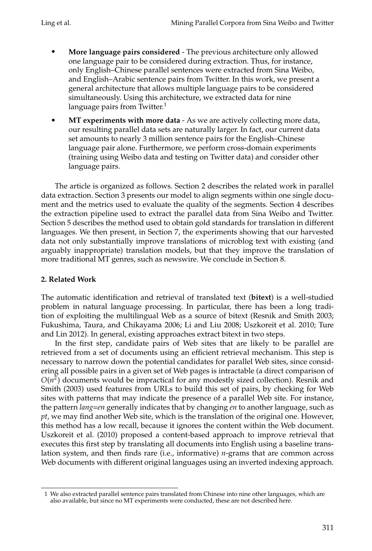- **More language pairs considered** The previous architecture only allowed one language pair to be considered during extraction. Thus, for instance, only English–Chinese parallel sentences were extracted from Sina Weibo, and English–Arabic sentence pairs from Twitter. In this work, we present a general architecture that allows multiple language pairs to be considered simultaneously. Using this architecture, we extracted data for nine language pairs from Twitter. $<sup>1</sup>$ </sup>
- **MT experiments with more data** As we are actively collecting more data, our resulting parallel data sets are naturally larger. In fact, our current data set amounts to nearly 3 million sentence pairs for the English–Chinese language pair alone. Furthermore, we perform cross-domain experiments (training using Weibo data and testing on Twitter data) and consider other language pairs.

The article is organized as follows. Section 2 describes the related work in parallel data extraction. Section 3 presents our model to align segments within one single document and the metrics used to evaluate the quality of the segments. Section 4 describes the extraction pipeline used to extract the parallel data from Sina Weibo and Twitter. Section 5 describes the method used to obtain gold standards for translation in different languages. We then present, in Section 7, the experiments showing that our harvested data not only substantially improve translations of microblog text with existing (and arguably inappropriate) translation models, but that they improve the translation of more traditional MT genres, such as newswire. We conclude in Section 8.

### **2. Related Work**

The automatic identification and retrieval of translated text (**bitext**) is a well-studied problem in natural language processing. In particular, there has been a long tradition of exploiting the multilingual Web as a source of bitext (Resnik and Smith 2003; Fukushima, Taura, and Chikayama 2006; Li and Liu 2008; Uszkoreit et al. 2010; Ture and Lin 2012). In general, existing approaches extract bitext in two steps.

In the first step, candidate pairs of Web sites that are likely to be parallel are retrieved from a set of documents using an efficient retrieval mechanism. This step is necessary to narrow down the potential candidates for parallel Web sites, since considering all possible pairs in a given set of Web pages is intractable (a direct comparison of  $O(n^2)$  documents would be impractical for any modestly sized collection). Resnik and Smith (2003) used features from URLs to build this set of pairs, by checking for Web sites with patterns that may indicate the presence of a parallel Web site. For instance, the pattern *lang=en* generally indicates that by changing *en* to another language, such as *pt*, we may find another Web site, which is the translation of the original one. However, this method has a low recall, because it ignores the content within the Web document. Uszkoreit et al. (2010) proposed a content-based approach to improve retrieval that executes this first step by translating all documents into English using a baseline translation system, and then finds rare (i.e., informative) *n*-grams that are common across Web documents with different original languages using an inverted indexing approach.

<sup>1</sup> We also extracted parallel sentence pairs translated from Chinese into nine other languages, which are also available, but since no MT experiments were conducted, these are not described here.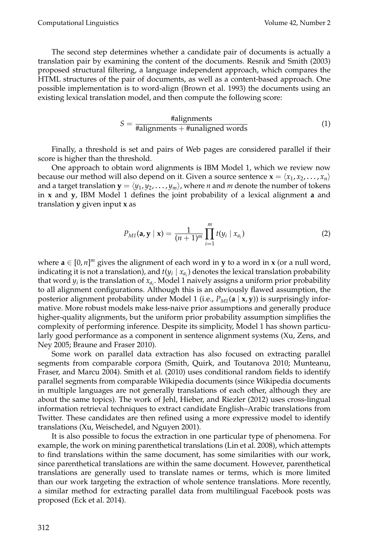The second step determines whether a candidate pair of documents is actually a translation pair by examining the content of the documents. Resnik and Smith (2003) proposed structural filtering, a language independent approach, which compares the HTML structures of the pair of documents, as well as a content-based approach. One possible implementation is to word-align (Brown et al. 1993) the documents using an existing lexical translation model, and then compute the following score:

$$
S = \frac{\text{#alignments}}{\text{#alignments} + \text{#unaligned words}} \tag{1}
$$

Finally, a threshold is set and pairs of Web pages are considered parallel if their score is higher than the threshold.

One approach to obtain word alignments is IBM Model 1, which we review now because our method will also depend on it. Given a source sentence  $\mathbf{x} = \langle x_1, x_2, \ldots, x_n \rangle$ and a target translation  $\mathbf{y} = \langle y_1, y_2, \ldots, y_m \rangle$ , where *n* and *m* denote the number of tokens in **x** and **y**, IBM Model 1 defines the joint probability of a lexical alignment **a** and translation **y** given input **x** as

$$
P_{M1}(\mathbf{a}, \mathbf{y} \mid \mathbf{x}) = \frac{1}{(n+1)^m} \prod_{i=1}^m t(y_i \mid x_{a_i})
$$
 (2)

where  $\mathbf{a} \in [0, n]^m$  gives the alignment of each word in **y** to a word in **x** (or a null word, indicating it is not a translation), and  $t(y_i \mid x_{a_i})$  denotes the lexical translation probability that word  $y_i$  is the translation of  $x_{a_i}$ . Model 1 naively assigns a uniform prior probability to all alignment configurations. Although this is an obviously flawed assumption, the posterior alignment probability under Model 1 (i.e., *PM1*(**a** | **x**, **y**)) is surprisingly informative. More robust models make less-naive prior assumptions and generally produce higher-quality alignments, but the uniform prior probability assumption simplifies the complexity of performing inference. Despite its simplicity, Model 1 has shown particularly good performance as a component in sentence alignment systems (Xu, Zens, and Ney 2005; Braune and Fraser 2010).

Some work on parallel data extraction has also focused on extracting parallel segments from comparable corpora (Smith, Quirk, and Toutanova 2010; Munteanu, Fraser, and Marcu 2004). Smith et al. (2010) uses conditional random fields to identify parallel segments from comparable Wikipedia documents (since Wikipedia documents in multiple languages are not generally translations of each other, although they are about the same topics). The work of Jehl, Hieber, and Riezler (2012) uses cross-lingual information retrieval techniques to extract candidate English–Arabic translations from Twitter. These candidates are then refined using a more expressive model to identify translations (Xu, Weischedel, and Nguyen 2001).

It is also possible to focus the extraction in one particular type of phenomena. For example, the work on mining parenthetical translations (Lin et al. 2008), which attempts to find translations within the same document, has some similarities with our work, since parenthetical translations are within the same document. However, parenthetical translations are generally used to translate names or terms, which is more limited than our work targeting the extraction of whole sentence translations. More recently, a similar method for extracting parallel data from multilingual Facebook posts was proposed (Eck et al. 2014).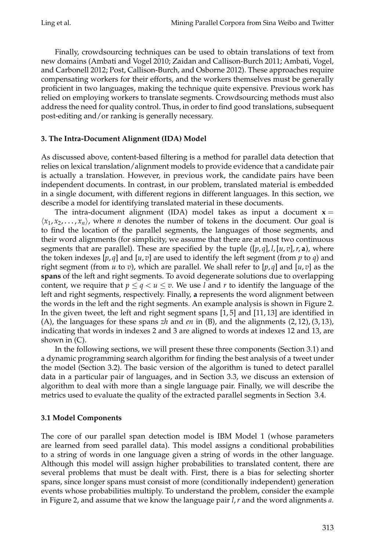Finally, crowdsourcing techniques can be used to obtain translations of text from new domains (Ambati and Vogel 2010; Zaidan and Callison-Burch 2011; Ambati, Vogel, and Carbonell 2012; Post, Callison-Burch, and Osborne 2012). These approaches require compensating workers for their efforts, and the workers themselves must be generally proficient in two languages, making the technique quite expensive. Previous work has relied on employing workers to translate segments. Crowdsourcing methods must also address the need for quality control. Thus, in order to find good translations, subsequent post-editing and/or ranking is generally necessary.

### **3. The Intra-Document Alignment (IDA) Model**

As discussed above, content-based filtering is a method for parallel data detection that relies on lexical translation/alignment models to provide evidence that a candidate pair is actually a translation. However, in previous work, the candidate pairs have been independent documents. In contrast, in our problem, translated material is embedded in a single document, with different regions in different languages. In this section, we describe a model for identifying translated material in these documents.

The intra-document alignment (IDA) model takes as input a document  $x =$  $\langle x_1, x_2, \ldots, x_n \rangle$ , where *n* denotes the number of tokens in the document. Our goal is to find the location of the parallel segments, the languages of those segments, and their word alignments (for simplicity, we assume that there are at most two continuous segments that are parallel). These are specified by the tuple  $([p, q], l, [u, v], r, \mathbf{a})$ , where the token indexes  $[p, q]$  and  $[u, v]$  are used to identify the left segment (from  $p$  to  $q$ ) and right segment (from *u* to *v*), which are parallel. We shall refer to [*p*, *q*] and [*u*, *v*] as the **spans** of the left and right segments. To avoid degenerate solutions due to overlapping content, we require that  $p \leq q < u \leq v$ . We use *l* and *r* to identify the language of the left and right segments, respectively. Finally, **a** represents the word alignment between the words in the left and the right segments. An example analysis is shown in Figure 2. In the given tweet, the left and right segment spans [1, 5] and [11, 13] are identified in (A), the languages for these spans *zh* and *en* in (B), and the alignments (2, 12), (3, 13), indicating that words in indexes 2 and 3 are aligned to words at indexes 12 and 13, are shown in (C).

In the following sections, we will present these three components (Section 3.1) and a dynamic programming search algorithm for finding the best analysis of a tweet under the model (Section 3.2). The basic version of the algorithm is tuned to detect parallel data in a particular pair of languages, and in Section 3.3, we discuss an extension of algorithm to deal with more than a single language pair. Finally, we will describe the metrics used to evaluate the quality of the extracted parallel segments in Section 3.4.

### **3.1 Model Components**

The core of our parallel span detection model is IBM Model 1 (whose parameters are learned from seed parallel data). This model assigns a conditional probabilities to a string of words in one language given a string of words in the other language. Although this model will assign higher probabilities to translated content, there are several problems that must be dealt with. First, there is a bias for selecting shorter spans, since longer spans must consist of more (conditionally independent) generation events whose probabilities multiply. To understand the problem, consider the example in Figure 2, and assume that we know the language pair *l*,*r* and the word alignments *a*.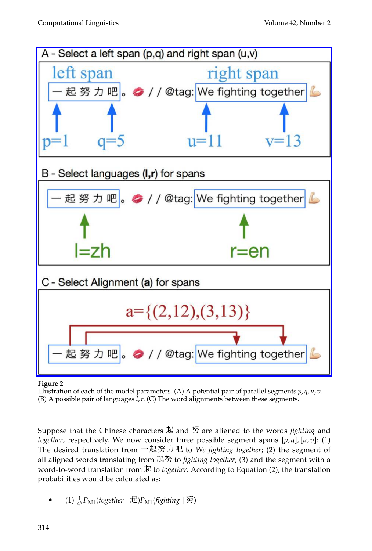

### **Figure 2**

Illustration of each of the model parameters. (A) A potential pair of parallel segments *p*, *q*, *u*, *v*. (B) A possible pair of languages *l*,*r*. (C) The word alignments between these segments.

Suppose that the Chinese characters  $\frac{\partial \mathcal{L}}{\partial x}$  and  $\frac{\partial \mathcal{L}}{\partial y}$  are aligned to the words *fighting* and *together*, respectively. We now consider three possible segment spans  $[p, q]$ ,  $[u, v]$ : (1) The desired translation from  $-\text{\&} \mathcal{B} \text{ } \mathcal{F}$  for *We fighting together*; (2) the segment of all aligned words translating from 起努 to *fighting together*; (3) and the segment with a word-to-word translation from  $\overline{\mathcal{R}}$  to *together*. According to Equation (2), the translation probabilities would be calculated as:

• (1) 
$$
\frac{1}{4^6}P_{\text{M1}}(\text{together} \mid \overline{\text{t}}\text{t})P_{\text{M1}}(\text{fighting} \mid \overline{\text{t}}\overline{\text{t}})
$$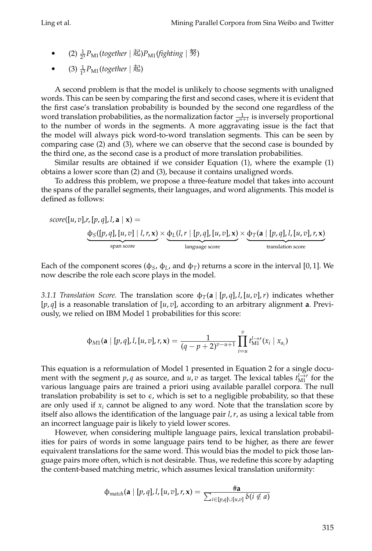- r  $(2)$   $\frac{1}{2^3}P_{\text{M1}}(together \mid \Xi)P_{\text{M1}}(fighting \mid \Xi)$
- r (3)  $\frac{1}{1^3}P_{\text{M1}}(together \mid \underline{\#})$

A second problem is that the model is unlikely to choose segments with unaligned words. This can be seen by comparing the first and second cases, where it is evident that the first case's translation probability is bounded by the second one regardless of the word translation probabilities, as the normalization factor  $\frac{1}{n^{m+1}}$  is inversely proportional to the number of words in the segments. A more aggravating issue is the fact that the model will always pick word-to-word translation segments. This can be seen by comparing case (2) and (3), where we can observe that the second case is bounded by the third one, as the second case is a product of more translation probabilities.

Similar results are obtained if we consider Equation (1), where the example (1) obtains a lower score than (2) and (3), because it contains unaligned words.

To address this problem, we propose a three-feature model that takes into account the spans of the parallel segments, their languages, and word alignments. This model is defined as follows:

$$
score([u, v], r, [p, q], l, \mathbf{a} | \mathbf{x}) = \underbrace{\Phi_S([p, q], [u, v], [l, r, \mathbf{x})]}_{\text{span score}} \times \underbrace{\Phi_L(l, r | [p, q], [u, v], \mathbf{x})}_{\text{language score}} \times \underbrace{\Phi_T(\mathbf{a} | [p, q], l, [u, v], r, \mathbf{x})}_{\text{translation score}}
$$

Each of the component scores ( $\phi_S$ ,  $\phi_L$ , and  $\phi_T$ ) returns a score in the interval [0, 1]. We now describe the role each score plays in the model.

*3.1.1 Translation Score.* The translation score  $\phi_T(a \mid [p,q], l, [u,v], r)$  indicates whether [*p*, *q*] is a reasonable translation of [*u*, *v*], according to an arbitrary alignment **a**. Previously, we relied on IBM Model 1 probabilities for this score:

$$
\Phi_{M1}(\mathbf{a} \mid [p,q], l, [u,v], r, \mathbf{x}) = \frac{1}{(q-p+2)^{v-u+1}} \prod_{i=u}^{v} t_{M1}^{l \to r}(x_i \mid x_{a_i})
$$

This equation is a reformulation of Model 1 presented in Equation 2 for a single document with the segment  $p, q$  as source, and  $u, v$  as target. The lexical tables  $t_{\text{M1}}^{1 \to r}$  for the various language pairs are trained a priori using available parallel corpora. The null translation probability is set to  $\epsilon$ , which is set to a negligible probability, so that these are only used if  $x_i$  cannot be aligned to any word. Note that the translation score by itself also allows the identification of the language pair *l*,*r*, as using a lexical table from an incorrect language pair is likely to yield lower scores.

However, when considering multiple language pairs, lexical translation probabilities for pairs of words in some language pairs tend to be higher, as there are fewer equivalent translations for the same word. This would bias the model to pick those language pairs more often, which is not desirable. Thus, we redefine this score by adapting the content-based matching metric, which assumes lexical translation uniformity:

$$
\Phi_{match}(\mathbf{a} \mid [p,q], l, [u,v], r, \mathbf{x}) = \frac{\#\mathbf{a}}{\sum_{i \in [p,q] \cup [u,v]} \delta(i \notin a)}
$$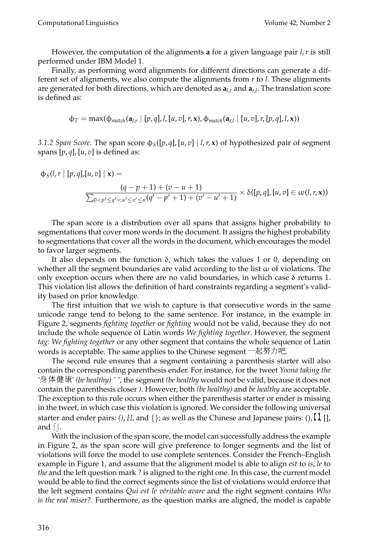However, the computation of the alignments **a** for a given language pair *l*,*r* is still performed under IBM Model 1.

Finally, as performing word alignments for different directions can generate a different set of alignments, we also compute the alignments from *r* to *l*. These alignments are generated for both directions, which are denoted as **a***l*,*<sup>r</sup>* and **a***r*,*<sup>l</sup>* . The translation score is defined as:

$$
\varphi_T = \max(\varphi_{match}(\mathbf{a}_{l,r} \mid [p,q], l, [u,v], r, \mathbf{x}), \varphi_{match}(\mathbf{a}_{r,l} \mid [u,v], r, [p,q], l, \mathbf{x}))
$$

*3.1.2 Span Score.* The span score φ*S*([*p*, *q*], [*u*, *v*] | *l*,*r*, **x**) of hypothesized pair of segment spans  $[p, q]$ ,  $[u, v]$  is defined as:

$$
\begin{aligned} \n\Phi_{\mathcal{S}}(l,r \mid [p,q],[u,v] \mid \mathbf{x}) &= \\ \n&\frac{(q-p+1)+(v-u+1)}{\sum_{0 < p' \le q' < u' \le v' \le n} (q'-p'+1)+(v'-u'+1)} \times \delta([p,q],[u,v] \in \omega(l,r,\mathbf{x})) \n\end{aligned}
$$

The span score is a distribution over all spans that assigns higher probability to segmentations that cover more words in the document. It assigns the highest probability to segmentations that cover all the words in the document, which encourages the model to favor larger segments.

It also depends on the function δ, which takes the values 1 or 0, depending on whether all the segment boundaries are valid according to the list  $\omega$  of violations. The only exception occurs when there are no valid boundaries, in which case δ returns 1. This violation list allows the definition of hard constraints regarding a segment's validity based on prior knowledge.

The first intuition that we wish to capture is that consecutive words in the same unicode range tend to belong to the same sentence. For instance, in the example in Figure 2, segments *fighting together* or *fighting* would not be valid, because they do not include the whole sequence of Latin words *We fighting together*. However, the segment *tag: We fighting together* or any other segment that contains the whole sequence of Latin words is acceptable. The same applies to the Chinese segment  $-\text{\&}\n# \mathfrak{B} \mathfrak{H} \mathfrak{m}$ .

The second rule ensures that a segment containing a parenthesis starter will also contain the corresponding parenthesis ender. For instance, for the tweet *Yoona taking the* '身体健康' *(be healthy)* ^  $\hat{ }$ , the segment *(be healthy* would not be valid, because it does not contain the parenthesis closer *)*. However, both *(be healthy)* and *be healthy* are acceptable. The exception to this rule occurs when either the parenthesis starter or ender is missing in the tweet, in which case this violation is ignored. We consider the following universal starter and ender pairs: (), [], and  $\{\}$ ; as well as the Chinese and Japanese pairs: (), [1, [], and  $\lceil \cdot \rceil$ .

With the inclusion of the span score, the model can successfully address the example in Figure 2, as the span score will give preference to longer segments and the list of violations will force the model to use complete sentences. Consider the French–English example in Figure 1, and assume that the alignment model is able to align *est* to *is*, *le* to *the* and the left question mark *?* is aligned to the right one. In this case, the current model would be able to find the correct segments since the list of violations would enforce that the left segment contains *Qui est le v´eritable avare* and the right segment contains *Who is the real miser?*. Furthermore, as the question marks are aligned, the model is capable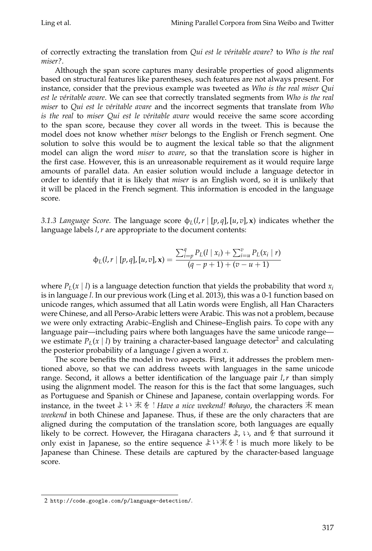of correctly extracting the translation from *Qui est le v´eritable avare?* to *Who is the real miser?*.

Although the span score captures many desirable properties of good alignments based on structural features like parentheses, such features are not always present. For instance, consider that the previous example was tweeted as *Who is the real miser Qui* est le véritable avare. We can see that correctly translated segments from *Who is the real miser* to *Qui est le véritable avare* and the incorrect segments that translate from *Who is the real* to *miser Qui est le véritable avare* would receive the same score according to the span score, because they cover all words in the tweet. This is because the model does not know whether *miser* belongs to the English or French segment. One solution to solve this would be to augment the lexical table so that the alignment model can align the word *miser* to *avare*, so that the translation score is higher in the first case. However, this is an unreasonable requirement as it would require large amounts of parallel data. An easier solution would include a language detector in order to identify that it is likely that *miser* is an English word, so it is unlikely that it will be placed in the French segment. This information is encoded in the language score.

*3.1.3 Language Score.* The language score  $\phi_L(l, r | [p, q], [u, v], \mathbf{x})$  indicates whether the language labels *l*,*r* are appropriate to the document contents:

$$
\Phi_L(l,r \mid [p,q],[u,v],\mathbf{x}) = \frac{\sum_{i=p}^{q} P_L(l \mid x_i) + \sum_{i=u}^{v} P_L(x_i \mid r)}{(q-p+1) + (v-u+1)}
$$

where  $P_L(x \mid l)$  is a language detection function that yields the probability that word  $x_i$ is in language *l*. In our previous work (Ling et al. 2013), this was a 0-1 function based on unicode ranges, which assumed that all Latin words were English, all Han Characters were Chinese, and all Perso-Arabic letters were Arabic. This was not a problem, because we were only extracting Arabic–English and Chinese–English pairs. To cope with any language pair—including pairs where both languages have the same unicode range we estimate  $P_L(x \mid l)$  by training a character-based language detector<sup>2</sup> and calculating the posterior probability of a language *l* given a word *x*.

The score benefits the model in two aspects. First, it addresses the problem mentioned above, so that we can address tweets with languages in the same unicode range. Second, it allows a better identification of the language pair  $l, r$  than simply using the alignment model. The reason for this is the fact that some languages, such as Portuguese and Spanish or Chinese and Japanese, contain overlapping words. For instance, in the tweet  $\downarrow \ \downarrow \ \bar{\uppi} \ \& \ \downarrow$  *Have a nice weekend! #ohayo*, the characters  $\bar{\uppi}$  mean *weekend* in both Chinese and Japanese. Thus, if these are the only characters that are aligned during the computation of the translation score, both languages are equally likely to be correct. However, the Hiragana characters  $\zeta$ ,  $\zeta$ , and  $\zeta$  that surround it only exist in Japanese, so the entire sequence  $\zeta \mapsto \overline{\pi} \zeta$  is much more likely to be Japanese than Chinese. These details are captured by the character-based language score.

<sup>2</sup> http://code.google.com/p/language-detection/.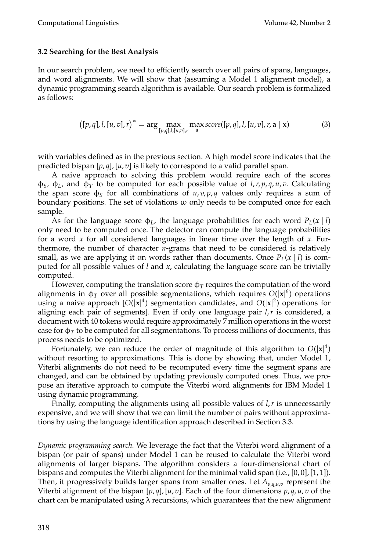#### **3.2 Searching for the Best Analysis**

In our search problem, we need to efficiently search over all pairs of spans, languages, and word alignments. We will show that (assuming a Model 1 alignment model), a dynamic programming search algorithm is available. Our search problem is formalized as follows:

$$
([p,q],l,[u,v],r)^* = \arg\max_{[p,q],l,[u,v],r} \max_{\mathbf{a}} score([p,q],l,[u,v],r,\mathbf{a} \mid \mathbf{x})
$$
(3)

with variables defined as in the previous section. A high model score indicates that the predicted bispan [*p*, *q*], [*u*, *v*] is likely to correspond to a valid parallel span.

A naive approach to solving this problem would require each of the scores φ*S*, φ*L*, and φ*<sup>T</sup>* to be computed for each possible value of *l*,*r*, *p*, *q*, *u*, *v*. Calculating the span score  $\phi_S$  for all combinations of *u*, *v*, *p*, *q* values only requires a sum of boundary positions. The set of violations  $\omega$  only needs to be computed once for each sample.

As for the language score  $\phi_L$ , the language probabilities for each word  $P_L(x | l)$ only need to be computed once. The detector can compute the language probabilities for a word *x* for all considered languages in linear time over the length of *x*. Furthermore, the number of character *n*-grams that need to be considered is relatively small, as we are applying it on words rather than documents. Once  $P_L(x \mid l)$  is computed for all possible values of *l* and *x*, calculating the language score can be trivially computed.

However, computing the translation score  $\phi_T$  requires the computation of the word alignments in  $\phi_T$  over all possible segmentations, which requires  $O(|\mathbf{x}|^6)$  operations using a naive approach [*O*(|**x**| 4 ) segmentation candidates, and *O*(|**x**| 2 ) operations for aligning each pair of segments]. Even if only one language pair *l*,*r* is considered, a document with 40 tokens would require approximately 7 million operations in the worst case for  $\phi_T$  to be computed for all segmentations. To process millions of documents, this process needs to be optimized.

Fortunately, we can reduce the order of magnitude of this algorithm to  $O(|x|^4)$ without resorting to approximations. This is done by showing that, under Model 1, Viterbi alignments do not need to be recomputed every time the segment spans are changed, and can be obtained by updating previously computed ones. Thus, we propose an iterative approach to compute the Viterbi word alignments for IBM Model 1 using dynamic programming.

Finally, computing the alignments using all possible values of *l*,*r* is unnecessarily expensive, and we will show that we can limit the number of pairs without approximations by using the language identification approach described in Section 3.3.

*Dynamic programming search.* We leverage the fact that the Viterbi word alignment of a bispan (or pair of spans) under Model 1 can be reused to calculate the Viterbi word alignments of larger bispans. The algorithm considers a four-dimensional chart of bispans and computes the Viterbi alignment for the minimal valid span (i.e., [0, 0], [1, 1]). Then, it progressively builds larger spans from smaller ones. Let  $A_{p,q,\mu,\nu}$  represent the Viterbi alignment of the bispan  $[p, q]$ ,  $[u, v]$ . Each of the four dimensions  $p, q, u, v$  of the chart can be manipulated using  $\lambda$  recursions, which guarantees that the new alignment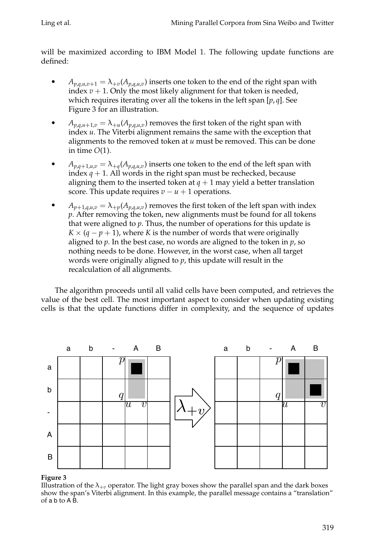will be maximized according to IBM Model 1. The following update functions are defined:

- *A*<sub>p</sub><sub>*n*</sub>*a*,*v*<sub>+1</sub></sub> =  $\lambda$ <sub>+*v*</sub>( $A$ <sub>*p*,*q*,*u*,*v*)</sub> inserts one token to the end of the right span with index  $v + 1$ . Only the most likely alignment for that token is needed, which requires iterating over all the tokens in the left span [*p*, *q*]. See Figure 3 for an illustration.
- *A*<sub>*p*,*q*,*u*+1,*v*</sub> =  $\lambda$ <sub>+*u*</sub>(*A*<sub>*p*,*q*,*u*,*v*)</sub> removes the first token of the right span with index *u*. The Viterbi alignment remains the same with the exception that alignments to the removed token at *u* must be removed. This can be done in time *O*(1).
- *A*<sub>p</sub><sub>*q*+1,*u*,*v*</sub> =  $\lambda_{+q}(A_{p,q,u,v})$  inserts one token to the end of the left span with index  $q + 1$ . All words in the right span must be rechecked, because aligning them to the inserted token at  $q + 1$  may yield a better translation score. This update requires  $v - u + 1$  operations.
- $\mathcal{A}_{p+1,q,\mu,v} = \lambda_{+p}(A_{p,q,\mu,v})$  removes the first token of the left span with index *p*. After removing the token, new alignments must be found for all tokens that were aligned to *p*. Thus, the number of operations for this update is  $K \times (q - p + 1)$ , where *K* is the number of words that were originally aligned to  $p$ . In the best case, no words are aligned to the token in  $p$ , so nothing needs to be done. However, in the worst case, when all target words were originally aligned to *p*, this update will result in the recalculation of all alignments.

The algorithm proceeds until all valid cells have been computed, and retrieves the value of the best cell. The most important aspect to consider when updating existing cells is that the update functions differ in complexity, and the sequence of updates



#### **Figure 3**

Illustration of the  $\lambda_{+v}$  operator. The light gray boxes show the parallel span and the dark boxes show the span's Viterbi alignment. In this example, the parallel message contains a "translation" of a b to A B.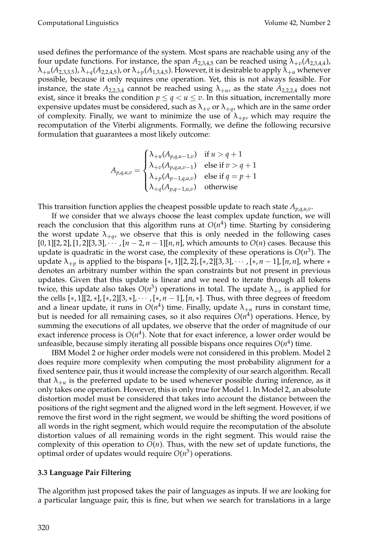used defines the performance of the system. Most spans are reachable using any of the four update functions. For instance, the span  $A_{2,3,4,5}$  can be reached using  $\lambda_{+v}(A_{2,3,4,4})$ ,  $\lambda_{+u}(A_{2,3,3,5})$ ,  $\lambda_{+q}(A_{2,2,4,5})$ , or  $\lambda_{+p}(A_{1,3,4,5})$ . However, it is desirable to apply  $\lambda_{+u}$  whenever possible, because it only requires one operation. Yet, this is not always feasible. For instance, the state  $A_{2,2,3,4}$  cannot be reached using  $\lambda_{+u}$ , as the state  $A_{2,2,2,4}$  does not exist, since it breaks the condition  $p \leq q < u \leq v$ . In this situation, incrementally more expensive updates must be considered, such as  $\lambda_{+v}$  or  $\lambda_{+q}$ , which are in the same order of complexity. Finally, we want to minimize the use of  $\lambda_{+p}$ , which may require the recomputation of the Viterbi alignments. Formally, we define the following recursive formulation that guarantees a most likely outcome:

$$
A_{p,q,u,v} = \begin{cases} \lambda_{+u}(A_{p,q,u-1,v}) & \text{if } u > q+1 \\ \lambda_{+v}(A_{p,q,u,v-1}) & \text{else if } v > q+1 \\ \lambda_{+p}(A_{p-1,q,u,v}) & \text{else if } q=p+1 \\ \lambda_{+q}(A_{p,q-1,u,v}) & \text{otherwise} \end{cases}
$$

This transition function applies the cheapest possible update to reach state *Ap*,*q*,*u*,*<sup>v</sup>* .

If we consider that we always choose the least complex update function, we will reach the conclusion that this algorithm runs at  $O(n^4)$  time. Starting by considering the worst update  $\lambda_{+q}$ , we observe that this is only needed in the following cases [0, 1][2, 2], [1, 2][3, 3], · · · , [*n* − 2, *n* − 1][*n*, *n*], which amounts to *O*(*n*) cases. Because this update is quadratic in the worst case, the complexity of these operations is  $O(n^3)$ . The update  $λ_{+p}$  is applied to the bispans [\*, 1][2, 2], [\*, 2][3, 3], · · · , [\*, *n* − 1], [*n*, *n*], where \* denotes an arbitrary number within the span constraints but not present in previous updates. Given that this update is linear and we need to iterate through all tokens twice, this update also takes  $O(n^3)$  operations in total. The update  $\lambda_{+v}$  is applied for the cells  $[*,1][2, *]$ ,  $[*,2][3, *]$ ,  $\cdots$ ,  $[*, n-1]$ ,  $[n, *]$ . Thus, with three degrees of freedom and a linear update, it runs in  $O(n^4)$  time. Finally, update  $\lambda_{+\mu}$  runs in constant time, but is needed for all remaining cases, so it also requires *O*(*n* 4 ) operations. Hence, by summing the executions of all updates, we observe that the order of magnitude of our exact inference process is  $O(n^4)$ . Note that for exact inference, a lower order would be unfeasible, because simply iterating all possible bispans once requires  $O(n^4)$  time.

IBM Model 2 or higher order models were not considered in this problem. Model 2 does require more complexity when computing the most probability alignment for a fixed sentence pair, thus it would increase the complexity of our search algorithm. Recall that  $\lambda_{+u}$  is the preferred update to be used whenever possible during inference, as it only takes one operation. However, this is only true for Model 1. In Model 2, an absolute distortion model must be considered that takes into account the distance between the positions of the right segment and the aligned word in the left segment. However, if we remove the first word in the right segment, we would be shifting the word positions of all words in the right segment, which would require the recomputation of the absolute distortion values of all remaining words in the right segment. This would raise the complexity of this operation to  $O(n)$ . Thus, with the new set of update functions, the optimal order of updates would require *O*(*n* 5 ) operations.

### **3.3 Language Pair Filtering**

The algorithm just proposed takes the pair of languages as inputs. If we are looking for a particular language pair, this is fine, but when we search for translations in a large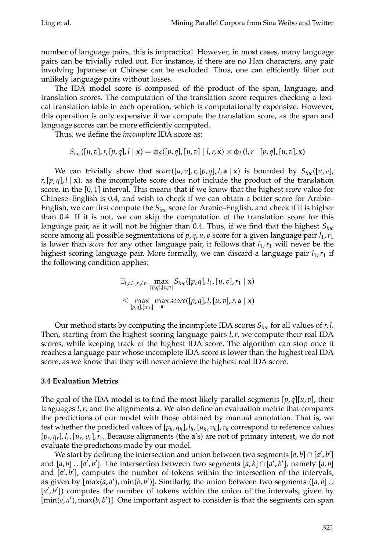number of language pairs, this is impractical. However, in most cases, many language pairs can be trivially ruled out. For instance, if there are no Han characters, any pair involving Japanese or Chinese can be excluded. Thus, one can efficiently filter out unlikely language pairs without losses.

The IDA model score is composed of the product of the span, language, and translation scores. The computation of the translation score requires checking a lexical translation table in each operation, which is computationally expensive. However, this operation is only expensive if we compute the translation score, as the span and language scores can be more efficiently computed.

Thus, we define the *incomplete* IDA score as:

$$
S_{inc}([u,v],r,[p,q],l\mid \mathbf{x}) = \Phi_S([p,q],[u,v]\mid l,r,\mathbf{x}) \times \Phi_L(l,r\mid [p,q],[u,v],\mathbf{x})
$$

We can trivially show that  $score([u, v], r, [p, q], l, \mathbf{a} | \mathbf{x})$  is bounded by  $S_{inc}([u, v],$  $r$ , [ $p$ ,  $q$ ],  $l$  | **x**), as the incomplete score does not include the product of the translation score, in the [0, 1] interval. This means that if we know that the highest *score* value for Chinese–English is 0.4, and wish to check if we can obtain a better score for Arabic– English, we can first compute the *Sinc* score for Arabic–English, and check if it is higher than 0.4. If it is not, we can skip the computation of the translation score for this language pair, as it will not be higher than 0.4. Thus, if we find that the highest *Sinc* score among all possible segmentations of  $p$ ,  $q$ ,  $u$ ,  $v$  score for a given language pair  $l_1$ ,  $r_1$ is lower than *score* for any other language pair, it follows that *l*<sup>1</sup> ,*r*<sup>1</sup> will never be the highest scoring language pair. More formally, we can discard a language pair  $l_1$ ,  $r_1$  if the following condition applies:

$$
\exists_{l \neq l_1, r \neq r_1} \max_{[p,q],[u,v]} S_{inc}([p,q], l_1, [u,v], r_1 | \mathbf{x})
$$
  
\n
$$
\leq \max_{[p,q],[u,v]} \max_{\mathbf{a}} score([p,q], l, [u,v], r, \mathbf{a} | \mathbf{x})
$$

Our method starts by computing the incomplete IDA scores *Sinc* for all values of *r*, *l*. Then, starting from the highest scoring language pairs *l*,*r*, we compute their real IDA scores, while keeping track of the highest IDA score. The algorithm can stop once it reaches a language pair whose incomplete IDA score is lower than the highest real IDA score, as we know that they will never achieve the highest real IDA score.

### **3.4 Evaluation Metrics**

The goal of the IDA model is to find the most likely parallel segments [*p*, *q*][*u*, *v*], their languages *l*,*r*, and the alignments **a**. We also define an evaluation metric that compares the predictions of our model with those obtained by manual annotation. That is, we test whether the predicted values of  $[p_h, q_h]$ ,  $l_h$ ,  $[u_h, v_h]$ ,  $r_h$  correspond to reference values [*pr* , *q<sup>r</sup>* ], *l<sup>r</sup>* , [*u<sup>r</sup>* , *v<sup>r</sup>* ],*r<sup>r</sup>* . Because alignments (the **a**'s) are not of primary interest, we do not evaluate the predictions made by our model.

We start by defining the intersection and union between two segments  $[a, b] \cap [a', b']$ and  $[a,b] \cup [a',b']$ . The intersection between two segments  $[a,b] \cap [a',b']$ , namely  $[a,b]$ and [a', b'], computes the number of tokens within the intersection of the intervals, as given by  $[\max(a, a'), \min(b, b')]$ . Similarly, the union between two segments  $([a, b] \cup$ [a', b']) computes the number of tokens within the union of the intervals, given by [min(*a*, *a'*), max(*b*, *b'*)]. One important aspect to consider is that the segments can span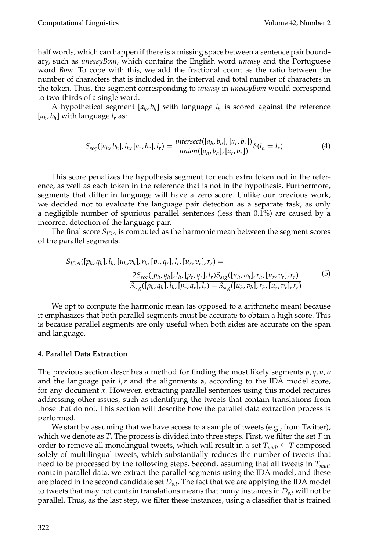half words, which can happen if there is a missing space between a sentence pair boundary, such as *uneasyBom*, which contains the English word *uneasy* and the Portuguese word *Bom*. To cope with this, we add the fractional count as the ratio between the number of characters that is included in the interval and total number of characters in the token. Thus, the segment corresponding to *uneasy* in *uneasyBom* would correspond to two-thirds of a single word.

A hypothetical segment  $[a_h, b_h]$  with language  $l_h$  is scored against the reference  $[a_h, b_h]$  with language  $l_r$  as:

$$
S_{seg}([a_h, b_h], l_h, [a_r, b_r], l_r) = \frac{intersect([a_h, b_h], [a_r, b_r])}{union([a_h, b_h], [a_r, b_r])} \delta(l_h = l_r)
$$
(4)

This score penalizes the hypothesis segment for each extra token not in the reference, as well as each token in the reference that is not in the hypothesis. Furthermore, segments that differ in language will have a zero score. Unlike our previous work, we decided not to evaluate the language pair detection as a separate task, as only a negligible number of spurious parallel sentences (less than 0.1%) are caused by a incorrect detection of the language pair.

The final score *SIDA* is computed as the harmonic mean between the segment scores of the parallel segments:

$$
S_{IDA}([p_h, q_h], l_h, [u_h, v_h], r_h, [p_r, q_r], l_r, [u_r, v_r], r_r) =
$$
  

$$
= \frac{2S_{seg}([p_h, q_h], l_h, [p_r, q_r], l_r)S_{seg}([u_h, v_h], r_h, [u_r, v_r], r_r)}{S_{seg}([p_h, q_h], l_h, [p_r, q_r], l_r) + S_{seg}([u_h, v_h], r_h, [u_r, v_r], r_r)}
$$
(5)

We opt to compute the harmonic mean (as opposed to a arithmetic mean) because it emphasizes that both parallel segments must be accurate to obtain a high score. This is because parallel segments are only useful when both sides are accurate on the span and language.

#### **4. Parallel Data Extraction**

The previous section describes a method for finding the most likely segments *p*, *q*, *u*, *v* and the language pair *l*,*r* and the alignments **a**, according to the IDA model score, for any document *x*. However, extracting parallel sentences using this model requires addressing other issues, such as identifying the tweets that contain translations from those that do not. This section will describe how the parallel data extraction process is performed.

We start by assuming that we have access to a sample of tweets (e.g., from Twitter), which we denote as *T*. The process is divided into three steps. First, we filter the set *T* in order to remove all monolingual tweets, which will result in a set  $T_{mult} \subseteq T$  composed solely of multilingual tweets, which substantially reduces the number of tweets that need to be processed by the following steps. Second, assuming that all tweets in *Tmult* contain parallel data, we extract the parallel segments using the IDA model, and these are placed in the second candidate set *Ds*,*<sup>t</sup>* . The fact that we are applying the IDA model to tweets that may not contain translations means that many instances in *Ds*,*<sup>t</sup>* will not be parallel. Thus, as the last step, we filter these instances, using a classifier that is trained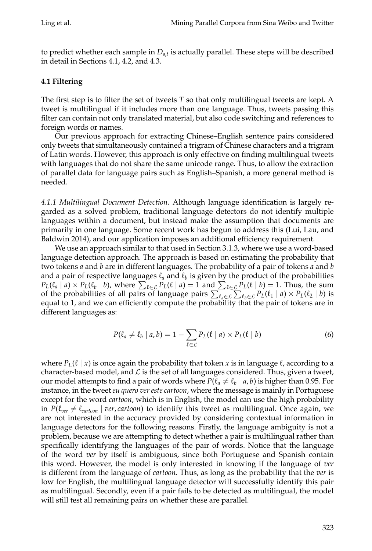to predict whether each sample in *Ds*,*<sup>t</sup>* is actually parallel. These steps will be described in detail in Sections 4.1, 4.2, and 4.3.

### **4.1 Filtering**

The first step is to filter the set of tweets *T* so that only multilingual tweets are kept. A tweet is multilingual if it includes more than one language. Thus, tweets passing this filter can contain not only translated material, but also code switching and references to foreign words or names.

Our previous approach for extracting Chinese–English sentence pairs considered only tweets that simultaneously contained a trigram of Chinese characters and a trigram of Latin words. However, this approach is only effective on finding multilingual tweets with languages that do not share the same unicode range. Thus, to allow the extraction of parallel data for language pairs such as English–Spanish, a more general method is needed.

*4.1.1 Multilingual Document Detection.* Although language identification is largely regarded as a solved problem, traditional language detectors do not identify multiple languages within a document, but instead make the assumption that documents are primarily in one language. Some recent work has begun to address this (Lui, Lau, and Baldwin 2014), and our application imposes an additional efficiency requirement.

We use an approach similar to that used in Section 3.1.3, where we use a word-based language detection approach. The approach is based on estimating the probability that two tokens *a* and *b* are in different languages. The probability of a pair of tokens *a* and *b* and a pair of respective languages  $\ell_a$  and  $\ell_b$  is given by the product of the probabilities  $P_L(\ell_a | a) \times P_L(\ell_b | b)$ , where  $\sum_{\ell \in \mathcal{L}} P_L(\ell | a) = 1$  and  $\sum_{\ell \in \mathcal{L}} P_L(\ell | b) = 1$ . Thus, the sum of the probabilities of all pairs of language pairs  $\sum_{\ell_a \in \mathcal{L}} \sum_{\ell_b \in \mathcal{L}} P_L(\ell_1 | a) \times P_L(\ell_2 | b)$  is equal to 1, and we can efficiently compute the probability that the pair of tokens are in different languages as:

$$
P(\ell_a \neq \ell_b \mid a, b) = 1 - \sum_{\ell \in \mathcal{L}} P_L(\ell \mid a) \times P_L(\ell \mid b)
$$
 (6)

where  $P_L(\ell | x)$  is once again the probability that token *x* is in language  $\ell$ , according to a character-based model, and  $\mathcal L$  is the set of all languages considered. Thus, given a tweet, our model attempts to find a pair of words where  $P(\ell_a\neq \ell_b\mid a,b)$  is higher than 0.95. For instance, in the tweet *eu quero ver este cartoon*, where the message is mainly in Portuguese except for the word *cartoon*, which is in English, the model can use the high probability in  $P(\ell_{ver} \neq \ell_{cartoon} \mid ver, cartoon)$  to identify this tweet as multilingual. Once again, we are not interested in the accuracy provided by considering contextual information in language detectors for the following reasons. Firstly, the language ambiguity is not a problem, because we are attempting to detect whether a pair is multilingual rather than specifically identifying the languages of the pair of words. Notice that the language of the word *ver* by itself is ambiguous, since both Portuguese and Spanish contain this word. However, the model is only interested in knowing if the language of *ver* is different from the language of *cartoon*. Thus, as long as the probability that the *ver* is low for English, the multilingual language detector will successfully identify this pair as multilingual. Secondly, even if a pair fails to be detected as multilingual, the model will still test all remaining pairs on whether these are parallel.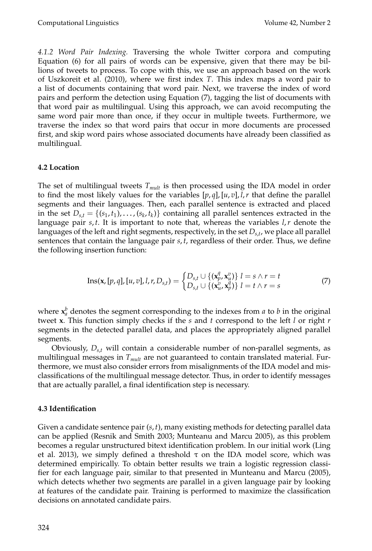*4.1.2 Word Pair Indexing.* Traversing the whole Twitter corpora and computing Equation (6) for all pairs of words can be expensive, given that there may be billions of tweets to process. To cope with this, we use an approach based on the work of Uszkoreit et al. (2010), where we first index *T*. This index maps a word pair to a list of documents containing that word pair. Next, we traverse the index of word pairs and perform the detection using Equation (7), tagging the list of documents with that word pair as multilingual. Using this approach, we can avoid recomputing the same word pair more than once, if they occur in multiple tweets. Furthermore, we traverse the index so that word pairs that occur in more documents are processed first, and skip word pairs whose associated documents have already been classified as multilingual.

#### **4.2 Location**

The set of multilingual tweets *Tmult* is then processed using the IDA model in order to find the most likely values for the variables  $[p,q]$ ,  $[u,v]$ ,  $l$ ,  $r$  that define the parallel segments and their languages. Then, each parallel sentence is extracted and placed in the set  $D_{s,t} = \{(s_1, t_1), \ldots, (s_k, t_k)\}\)$  containing all parallel sentences extracted in the language pair *s, t*. It is important to note that, whereas the variables *l, r* denote the languages of the left and right segments, respectively, in the set *Ds*,*<sup>t</sup>* , we place all parallel sentences that contain the language pair *s*, *t*, regardless of their order. Thus, we define the following insertion function:

$$
Ins(\mathbf{x}, [p, q], [u, v], l, r, D_{s,t}) = \begin{cases} D_{s,t} \cup \{ (\mathbf{x}_p^q, \mathbf{x}_u^v) \} & l = s \land r = t \\ D_{s,t} \cup \{ (\mathbf{x}_u^v, \mathbf{x}_p^q) \} & l = t \land r = s \end{cases}
$$
(7)

where  $\mathbf{x}_a^b$  denotes the segment corresponding to the indexes from *a* to *b* in the original tweet **x**. This function simply checks if the *s* and *t* correspond to the left *l* or right *r* segments in the detected parallel data, and places the appropriately aligned parallel segments.

Obviously, *Ds*,*<sup>t</sup>* will contain a considerable number of non-parallel segments, as multilingual messages in *Tmult* are not guaranteed to contain translated material. Furthermore, we must also consider errors from misalignments of the IDA model and misclassifications of the multilingual message detector. Thus, in order to identify messages that are actually parallel, a final identification step is necessary.

### **4.3 Identification**

Given a candidate sentence pair (*s*, *t*), many existing methods for detecting parallel data can be applied (Resnik and Smith 2003; Munteanu and Marcu 2005), as this problem becomes a regular unstructured bitext identification problem. In our initial work (Ling et al. 2013), we simply defined a threshold  $τ$  on the IDA model score, which was determined empirically. To obtain better results we train a logistic regression classifier for each language pair, similar to that presented in Munteanu and Marcu (2005), which detects whether two segments are parallel in a given language pair by looking at features of the candidate pair. Training is performed to maximize the classification decisions on annotated candidate pairs.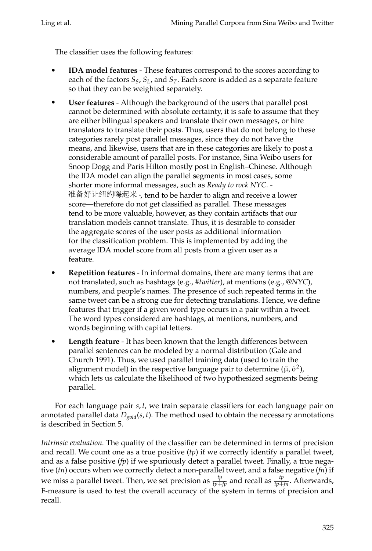The classifier uses the following features:

- r **IDA model features** - These features correspond to the scores according to each of the factors  $S_S$ ,  $S_L$ , and  $S_T$ . Each score is added as a separate feature so that they can be weighted separately.
- User features Although the background of the users that parallel post cannot be determined with absolute certainty, it is safe to assume that they are either bilingual speakers and translate their own messages, or hire translators to translate their posts. Thus, users that do not belong to these categories rarely post parallel messages, since they do not have the means, and likewise, users that are in these categories are likely to post a considerable amount of parallel posts. For instance, Sina Weibo users for Snoop Dogg and Paris Hilton mostly post in English–Chinese. Although the IDA model can align the parallel segments in most cases, some shorter more informal messages, such as *Ready to rock NYC. -* 准备好让纽约嗨起来<sub>?</sub>, tend to be harder to align and receive a lower score—therefore do not get classified as parallel. These messages tend to be more valuable, however, as they contain artifacts that our translation models cannot translate. Thus, it is desirable to consider the aggregate scores of the user posts as additional information for the classification problem. This is implemented by adding the average IDA model score from all posts from a given user as a feature.
- **Repetition features** In informal domains, there are many terms that are not translated, such as hashtags (e.g., *#twitter*), at mentions (e.g., *@NYC*), numbers, and people's names. The presence of such repeated terms in the same tweet can be a strong cue for detecting translations. Hence, we define features that trigger if a given word type occurs in a pair within a tweet. The word types considered are hashtags, at mentions, numbers, and words beginning with capital letters.
- Length feature It has been known that the length differences between parallel sentences can be modeled by a normal distribution (Gale and Church 1991). Thus, we used parallel training data (used to train the alignment model) in the respective language pair to determine ( $\tilde{\mu}$ ,  $\tilde{\sigma}^2$ ), which lets us calculate the likelihood of two hypothesized segments being parallel.

For each language pair *s*, *t*, we train separate classifiers for each language pair on annotated parallel data  $D_{gold}(s, t)$ . The method used to obtain the necessary annotations is described in Section 5.

*Intrinsic evaluation.* The quality of the classifier can be determined in terms of precision and recall. We count one as a true positive (*tp*) if we correctly identify a parallel tweet, and as a false positive (*fp*) if we spuriously detect a parallel tweet. Finally, a true negative (*tn*) occurs when we correctly detect a non-parallel tweet, and a false negative (*fn*) if we miss a parallel tweet. Then, we set precision as  $\frac{tp}{tp + fp}$  and recall as  $\frac{tp}{tp + fh}$ . Afterwards, F-measure is used to test the overall accuracy of the system in terms of precision and recall.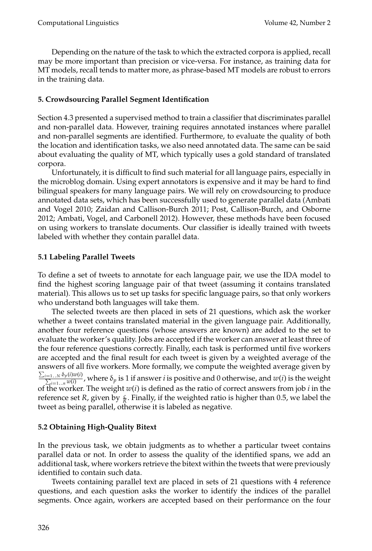Depending on the nature of the task to which the extracted corpora is applied, recall may be more important than precision or vice-versa. For instance, as training data for MT models, recall tends to matter more, as phrase-based MT models are robust to errors in the training data.

### **5. Crowdsourcing Parallel Segment Identification**

Section 4.3 presented a supervised method to train a classifier that discriminates parallel and non-parallel data. However, training requires annotated instances where parallel and non-parallel segments are identified. Furthermore, to evaluate the quality of both the location and identification tasks, we also need annotated data. The same can be said about evaluating the quality of MT, which typically uses a gold standard of translated corpora.

Unfortunately, it is difficult to find such material for all language pairs, especially in the microblog domain. Using expert annotators is expensive and it may be hard to find bilingual speakers for many language pairs. We will rely on crowdsourcing to produce annotated data sets, which has been successfully used to generate parallel data (Ambati and Vogel 2010; Zaidan and Callison-Burch 2011; Post, Callison-Burch, and Osborne 2012; Ambati, Vogel, and Carbonell 2012). However, these methods have been focused on using workers to translate documents. Our classifier is ideally trained with tweets labeled with whether they contain parallel data.

# **5.1 Labeling Parallel Tweets**

To define a set of tweets to annotate for each language pair, we use the IDA model to find the highest scoring language pair of that tweet (assuming it contains translated material). This allows us to set up tasks for specific language pairs, so that only workers who understand both languages will take them.

The selected tweets are then placed in sets of 21 questions, which ask the worker whether a tweet contains translated material in the given language pair. Additionally, another four reference questions (whose answers are known) are added to the set to evaluate the worker's quality. Jobs are accepted if the worker can answer at least three of the four reference questions correctly. Finally, each task is performed until five workers are accepted and the final result for each tweet is given by a weighted average of the answers of all five workers. More formally, we compute the weighted average given by  $\frac{\sum_{i=1..N}\delta_p(i)w(i)}{\sum_{i=1..n}w(i)}$ , where  $\delta_p$  is 1 if answer *i* is positive and 0 otherwise, and  $w(i)$  is the weight of the worker. The weight  $w(i)$  is defined as the ratio of correct answers from job *i* in the reference set *R*, given by  $\frac{c}{R}$ . Finally, if the weighted ratio is higher than 0.5, we label the tweet as being parallel, otherwise it is labeled as negative.

# **5.2 Obtaining High-Quality Bitext**

In the previous task, we obtain judgments as to whether a particular tweet contains parallel data or not. In order to assess the quality of the identified spans, we add an additional task, where workers retrieve the bitext within the tweets that were previously identified to contain such data.

Tweets containing parallel text are placed in sets of 21 questions with 4 reference questions, and each question asks the worker to identify the indices of the parallel segments. Once again, workers are accepted based on their performance on the four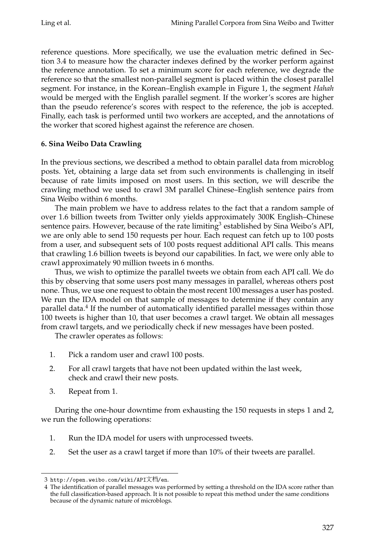reference questions. More specifically, we use the evaluation metric defined in Section 3.4 to measure how the character indexes defined by the worker perform against the reference annotation. To set a minimum score for each reference, we degrade the reference so that the smallest non-parallel segment is placed within the closest parallel segment. For instance, in the Korean–English example in Figure 1, the segment *Hahah* would be merged with the English parallel segment. If the worker's scores are higher than the pseudo reference's scores with respect to the reference, the job is accepted. Finally, each task is performed until two workers are accepted, and the annotations of the worker that scored highest against the reference are chosen.

# **6. Sina Weibo Data Crawling**

In the previous sections, we described a method to obtain parallel data from microblog posts. Yet, obtaining a large data set from such environments is challenging in itself because of rate limits imposed on most users. In this section, we will describe the crawling method we used to crawl 3M parallel Chinese–English sentence pairs from Sina Weibo within 6 months.

The main problem we have to address relates to the fact that a random sample of over 1.6 billion tweets from Twitter only yields approximately 300K English–Chinese sentence pairs. However, because of the rate limiting $^3$  established by Sina Weibo's API, we are only able to send 150 requests per hour. Each request can fetch up to 100 posts from a user, and subsequent sets of 100 posts request additional API calls. This means that crawling 1.6 billion tweets is beyond our capabilities. In fact, we were only able to crawl approximately 90 million tweets in 6 months.

Thus, we wish to optimize the parallel tweets we obtain from each API call. We do this by observing that some users post many messages in parallel, whereas others post none. Thus, we use one request to obtain the most recent 100 messages a user has posted. We run the IDA model on that sample of messages to determine if they contain any parallel data.<sup>4</sup> If the number of automatically identified parallel messages within those 100 tweets is higher than 10, that user becomes a crawl target. We obtain all messages from crawl targets, and we periodically check if new messages have been posted.

The crawler operates as follows:

- 1. Pick a random user and crawl 100 posts.
- 2. For all crawl targets that have not been updated within the last week, check and crawl their new posts.
- 3. Repeat from 1.

During the one-hour downtime from exhausting the 150 requests in steps 1 and 2, we run the following operations:

- 1. Run the IDA model for users with unprocessed tweets.
- 2. Set the user as a crawl target if more than 10% of their tweets are parallel.

 $3$  http://open.weibo.com/wiki/API文档/en.

<sup>4</sup> The identification of parallel messages was performed by setting a threshold on the IDA score rather than the full classification-based approach. It is not possible to repeat this method under the same conditions because of the dynamic nature of microblogs.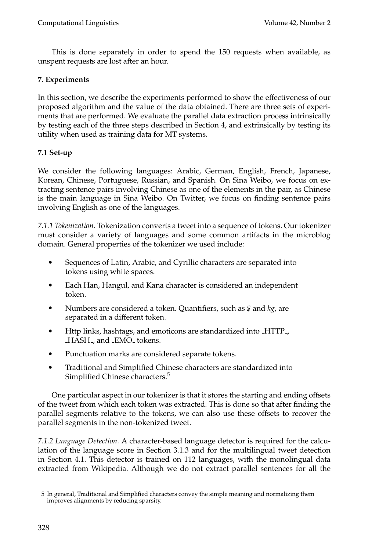This is done separately in order to spend the 150 requests when available, as unspent requests are lost after an hour.

### **7. Experiments**

In this section, we describe the experiments performed to show the effectiveness of our proposed algorithm and the value of the data obtained. There are three sets of experiments that are performed. We evaluate the parallel data extraction process intrinsically by testing each of the three steps described in Section 4, and extrinsically by testing its utility when used as training data for MT systems.

### **7.1 Set-up**

We consider the following languages: Arabic, German, English, French, Japanese, Korean, Chinese, Portuguese, Russian, and Spanish. On Sina Weibo, we focus on extracting sentence pairs involving Chinese as one of the elements in the pair, as Chinese is the main language in Sina Weibo. On Twitter, we focus on finding sentence pairs involving English as one of the languages.

*7.1.1 Tokenization.* Tokenization converts a tweet into a sequence of tokens. Our tokenizer must consider a variety of languages and some common artifacts in the microblog domain. General properties of the tokenizer we used include:

- Sequences of Latin, Arabic, and Cyrillic characters are separated into tokens using white spaces.
- Each Han, Hangul, and Kana character is considered an independent token.
- r Numbers are considered a token. Quantifiers, such as *\$* and *kg*, are separated in a different token.
- Http links, hashtags, and emoticons are standardized into LHTTP<sub>-</sub>, HASH<sub>-</sub>, and LEMO<sub>-</sub> tokens.
- Punctuation marks are considered separate tokens.
- Traditional and Simplified Chinese characters are standardized into Simplified Chinese characters.<sup>5</sup>

One particular aspect in our tokenizer is that it stores the starting and ending offsets of the tweet from which each token was extracted. This is done so that after finding the parallel segments relative to the tokens, we can also use these offsets to recover the parallel segments in the non-tokenized tweet.

*7.1.2 Language Detection.* A character-based language detector is required for the calculation of the language score in Section 3.1.3 and for the multilingual tweet detection in Section 4.1. This detector is trained on 112 languages, with the monolingual data extracted from Wikipedia. Although we do not extract parallel sentences for all the

<sup>5</sup> In general, Traditional and Simplified characters convey the simple meaning and normalizing them improves alignments by reducing sparsity.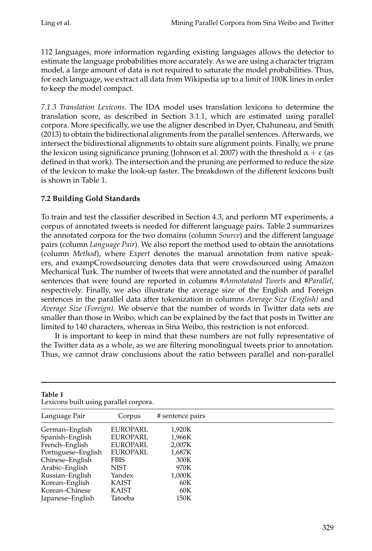112 languages, more information regarding existing languages allows the detector to estimate the language probabilities more accurately. As we are using a character trigram model, a large amount of data is not required to saturate the model probabilities. Thus, for each language, we extract all data from Wikipedia up to a limit of 100K lines in order to keep the model compact.

*7.1.3 Translation Lexicons.* The IDA model uses translation lexicons to determine the translation score, as described in Section 3.1.1, which are estimated using parallel corpora. More specifically, we use the aligner described in Dyer, Chahuneau, and Smith (2013) to obtain the bidirectional alignments from the parallel sentences. Afterwards, we intersect the bidirectional alignments to obtain sure alignment points. Finally, we prune the lexicon using significance pruning (Johnson et al. 2007) with the threshold  $\alpha + \epsilon$  (as defined in that work). The intersection and the pruning are performed to reduce the size of the lexicon to make the look-up faster. The breakdown of the different lexicons built is shown in Table 1.

# **7.2 Building Gold Standards**

To train and test the classifier described in Section 4.3, and perform MT experiments, a corpus of annotated tweets is needed for different language pairs. Table 2 summarizes the annotated corpora for the two domains (column *Source*) and the different language pairs (column *Language Pair*). We also report the method used to obtain the annotations (column *Method*), where *Expert* denotes the manual annotation from native speakers, and exampCrowdsourcing denotes data that were crowdsourced using Amazon Mechanical Turk. The number of tweets that were annotated and the number of parallel sentences that were found are reported in columns *#Annotatated Tweets* and *#Parallel*, respectively. Finally, we also illustrate the average size of the English and Foreign sentences in the parallel data after tokenization in columns *Average Size (English)* and *Average Size (Foreign)*. We observe that the number of words in Twitter data sets are smaller than those in Weibo, which can be explained by the fact that posts in Twitter are limited to 140 characters, whereas in Sina Weibo, this restriction is not enforced.

It is important to keep in mind that these numbers are not fully representative of the Twitter data as a whole, as we are filtering monolingual tweets prior to annotation. Thus, we cannot draw conclusions about the ratio between parallel and non-parallel

| Table 1<br>Lexicons built using parallel corpora. |                 |                  |  |  |  |
|---------------------------------------------------|-----------------|------------------|--|--|--|
| Language Pair                                     | Corpus          | # sentence pairs |  |  |  |
| German-English                                    | EUROPARL        | 1,920K           |  |  |  |
| Spanish-English                                   | EUROPARL        | 1,966K           |  |  |  |
| French-English                                    | EUROPARL        | 2,007K           |  |  |  |
| Portuguese-English                                | <b>EUROPARL</b> | 1,687K           |  |  |  |
| Chinese–English                                   | FBIS            | 300K             |  |  |  |
| Arabic-English                                    | NIST            | 970K             |  |  |  |
| Russian-English                                   | Yandex          | 1,000K           |  |  |  |
| Korean-English                                    | KAIST           | 60K              |  |  |  |
| Korean–Chinese                                    | KAIST           | 60K              |  |  |  |
| Japanese–English                                  | Tatoeba         | 150K             |  |  |  |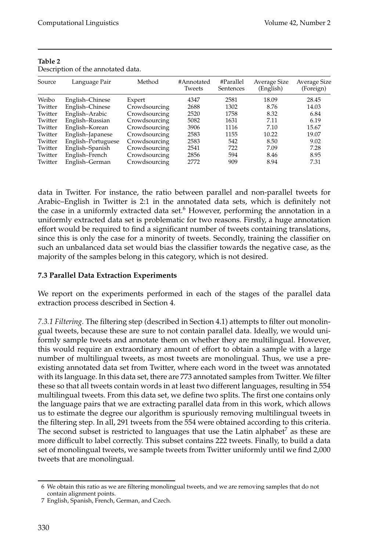| Source  | Language Pair      | Method        | #Annotated<br>Tweets | #Parallel<br>Sentences | Average Size<br>(English) | Average Size<br>(Foreign) |
|---------|--------------------|---------------|----------------------|------------------------|---------------------------|---------------------------|
| Weibo   | English-Chinese    | Expert        | 4347                 | 2581                   | 18.09                     | 28.45                     |
| Twitter | English-Chinese    | Crowdsourcing | 2688                 | 1302                   | 8.76                      | 14.03                     |
| Twitter | English-Arabic     | Crowdsourcing | 2520                 | 1758                   | 8.32                      | 6.84                      |
| Twitter | English-Russian    | Crowdsourcing | 5082                 | 1631                   | 7.11                      | 6.19                      |
| Twitter | English-Korean     | Crowdsourcing | 3906                 | 1116                   | 7.10                      | 15.67                     |
| Twitter | English-Japanese   | Crowdsourcing | 2583                 | 1155                   | 10.22                     | 19.07                     |
| Twitter | English-Portuguese | Crowdsourcing | 2583                 | 542                    | 8.50                      | 9.02                      |
| Twitter | English-Spanish    | Crowdsourcing | 2541                 | 722                    | 7.09                      | 7.28                      |
| Twitter | English-French     | Crowdsourcing | 2856                 | 594                    | 8.46                      | 8.95                      |
| Twitter | English-German     | Crowdsourcing | 2772                 | 909                    | 8.94                      | 7.31                      |

#### **Table 2** Description of the annotated data.

data in Twitter. For instance, the ratio between parallel and non-parallel tweets for Arabic–English in Twitter is 2:1 in the annotated data sets, which is definitely not the case in a uniformly extracted data set.<sup>6</sup> However, performing the annotation in a uniformly extracted data set is problematic for two reasons. Firstly, a huge annotation effort would be required to find a significant number of tweets containing translations, since this is only the case for a minority of tweets. Secondly, training the classifier on such an unbalanced data set would bias the classifier towards the negative case, as the majority of the samples belong in this category, which is not desired.

### **7.3 Parallel Data Extraction Experiments**

We report on the experiments performed in each of the stages of the parallel data extraction process described in Section 4.

*7.3.1 Filtering.* The filtering step (described in Section 4.1) attempts to filter out monolingual tweets, because these are sure to not contain parallel data. Ideally, we would uniformly sample tweets and annotate them on whether they are multilingual. However, this would require an extraordinary amount of effort to obtain a sample with a large number of multilingual tweets, as most tweets are monolingual. Thus, we use a preexisting annotated data set from Twitter, where each word in the tweet was annotated with its language. In this data set, there are 773 annotated samples from Twitter. We filter these so that all tweets contain words in at least two different languages, resulting in 554 multilingual tweets. From this data set, we define two splits. The first one contains only the language pairs that we are extracting parallel data from in this work, which allows us to estimate the degree our algorithm is spuriously removing multilingual tweets in the filtering step. In all, 291 tweets from the 554 were obtained according to this criteria. The second subset is restricted to languages that use the Latin alphabet<sup>7</sup> as these are more difficult to label correctly. This subset contains 222 tweets. Finally, to build a data set of monolingual tweets, we sample tweets from Twitter uniformly until we find 2,000 tweets that are monolingual.

<sup>6</sup> We obtain this ratio as we are filtering monolingual tweets, and we are removing samples that do not contain alignment points.

<sup>7</sup> English, Spanish, French, German, and Czech.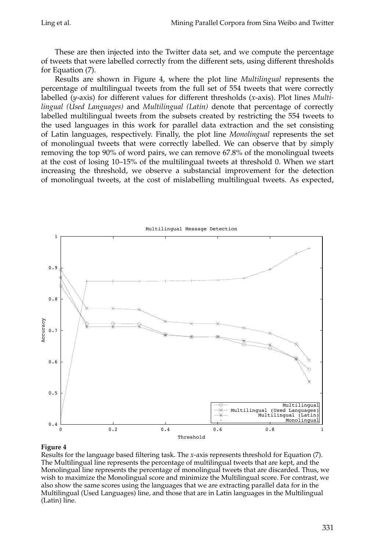These are then injected into the Twitter data set, and we compute the percentage of tweets that were labelled correctly from the different sets, using different thresholds for Equation (7).

Results are shown in Figure 4, where the plot line *Multilingual* represents the percentage of multilingual tweets from the full set of 554 tweets that were correctly labelled (*y*-axis) for different values for different thresholds (*x*-axis). Plot lines *Multilingual (Used Languages)* and *Multilingual (Latin)* denote that percentage of correctly labelled multilingual tweets from the subsets created by restricting the 554 tweets to the used languages in this work for parallel data extraction and the set consisting of Latin languages, respectively. Finally, the plot line *Monolingual* represents the set of monolingual tweets that were correctly labelled. We can observe that by simply removing the top 90% of word pairs, we can remove 67.8% of the monolingual tweets at the cost of losing 10–15% of the multilingual tweets at threshold 0. When we start increasing the threshold, we observe a substancial improvement for the detection of monolingual tweets, at the cost of mislabelling multilingual tweets. As expected,



#### **Figure 4**

Results for the language based filtering task. The *x*-axis represents threshold for Equation (7). The Multilingual line represents the percentage of multilingual tweets that are kept, and the Monolingual line represents the percentage of monolingual tweets that are discarded. Thus, we wish to maximize the Monolingual score and minimize the Multilingual score. For contrast, we also show the same scores using the languages that we are extracting parallel data for in the Multilingual (Used Languages) line, and those that are in Latin languages in the Multilingual (Latin) line.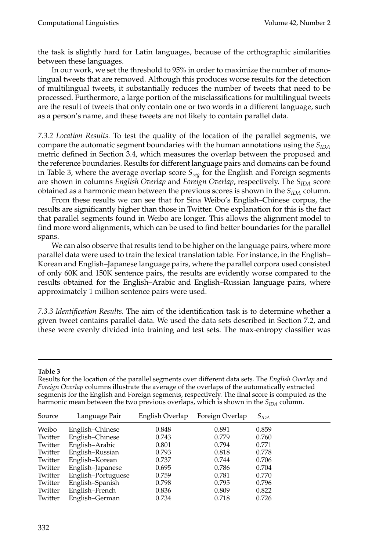the task is slightly hard for Latin languages, because of the orthographic similarities between these languages.

In our work, we set the threshold to 95% in order to maximize the number of monolingual tweets that are removed. Although this produces worse results for the detection of multilingual tweets, it substantially reduces the number of tweets that need to be processed. Furthermore, a large portion of the misclassifications for multilingual tweets are the result of tweets that only contain one or two words in a different language, such as a person's name, and these tweets are not likely to contain parallel data.

*7.3.2 Location Results.* To test the quality of the location of the parallel segments, we compare the automatic segment boundaries with the human annotations using the *SIDA* metric defined in Section 3.4, which measures the overlap between the proposed and the reference boundaries. Results for different language pairs and domains can be found in Table 3, where the average overlap score *Sseg* for the English and Foreign segments are shown in columns *English Overlap* and *Foreign Overlap*, respectively. The *SIDA* score obtained as a harmonic mean between the previous scores is shown in the *SIDA* column.

From these results we can see that for Sina Weibo's English–Chinese corpus, the results are significantly higher than those in Twitter. One explanation for this is the fact that parallel segments found in Weibo are longer. This allows the alignment model to find more word alignments, which can be used to find better boundaries for the parallel spans.

We can also observe that results tend to be higher on the language pairs, where more parallel data were used to train the lexical translation table. For instance, in the English– Korean and English–Japanese language pairs, where the parallel corpora used consisted of only 60K and 150K sentence pairs, the results are evidently worse compared to the results obtained for the English–Arabic and English–Russian language pairs, where approximately 1 million sentence pairs were used.

*7.3.3 Identification Results.* The aim of the identification task is to determine whether a given tweet contains parallel data. We used the data sets described in Section 7.2, and these were evenly divided into training and test sets. The max-entropy classifier was

#### **Table 3**

Results for the location of the parallel segments over different data sets. The *English Overlap* and *Foreign Overlap* columns illustrate the average of the overlaps of the automatically extracted segments for the English and Foreign segments, respectively. The final score is computed as the harmonic mean between the two previous overlaps, which is shown in the *SIDA* column.

| Source  | Language Pair      | English Overlap | Foreign Overlap | $S_{IDA}$ |  |
|---------|--------------------|-----------------|-----------------|-----------|--|
| Weibo   | English-Chinese    | 0.848           | 0.891           | 0.859     |  |
| Twitter | English-Chinese    | 0.743           | 0.779           | 0.760     |  |
| Twitter | English-Arabic     | 0.801           | 0.794           | 0.771     |  |
| Twitter | English-Russian    | 0.793           | 0.818           | 0.778     |  |
| Twitter | English-Korean     | 0.737           | 0.744           | 0.706     |  |
| Twitter | English-Japanese   | 0.695           | 0.786           | 0.704     |  |
| Twitter | English-Portuguese | 0.759           | 0.781           | 0.770     |  |
| Twitter | English-Spanish    | 0.798           | 0.795           | 0.796     |  |
| Twitter | English-French     | 0.836           | 0.809           | 0.822     |  |
| Twitter | English-German     | 0.734           | 0.718           | 0.726     |  |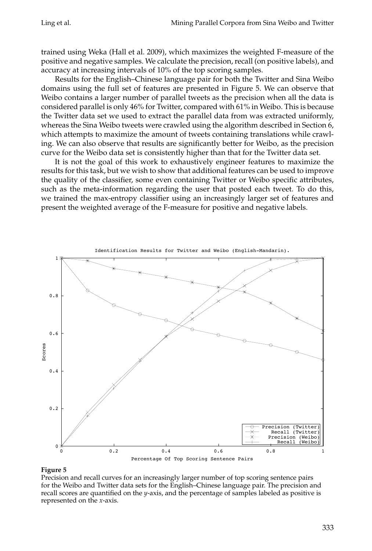trained using Weka (Hall et al. 2009), which maximizes the weighted F-measure of the positive and negative samples. We calculate the precision, recall (on positive labels), and accuracy at increasing intervals of 10% of the top scoring samples.

Results for the English–Chinese language pair for both the Twitter and Sina Weibo domains using the full set of features are presented in Figure 5. We can observe that Weibo contains a larger number of parallel tweets as the precision when all the data is considered parallel is only 46% for Twitter, compared with 61% in Weibo. This is because the Twitter data set we used to extract the parallel data from was extracted uniformly, whereas the Sina Weibo tweets were crawled using the algorithm described in Section 6, which attempts to maximize the amount of tweets containing translations while crawling. We can also observe that results are significantly better for Weibo, as the precision curve for the Weibo data set is consistently higher than that for the Twitter data set.

It is not the goal of this work to exhaustively engineer features to maximize the results for this task, but we wish to show that additional features can be used to improve the quality of the classifier, some even containing Twitter or Weibo specific attributes, such as the meta-information regarding the user that posted each tweet. To do this, we trained the max-entropy classifier using an increasingly larger set of features and present the weighted average of the F-measure for positive and negative labels.



#### **Figure 5**

Precision and recall curves for an increasingly larger number of top scoring sentence pairs for the Weibo and Twitter data sets for the English–Chinese language pair. The precision and recall scores are quantified on the *y*-axis, and the percentage of samples labeled as positive is represented on the *x*-axis.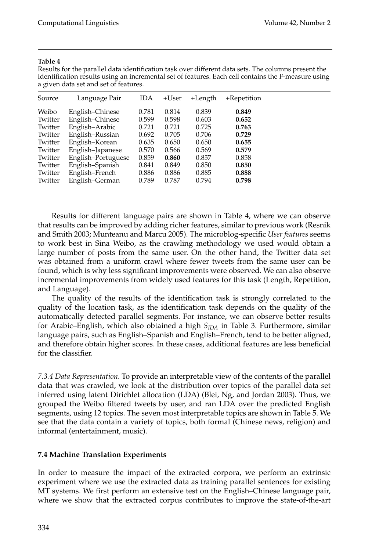| ٧<br>- -<br>- 1<br>٠<br>٠<br>I<br>٠ |  |
|-------------------------------------|--|
|-------------------------------------|--|

Results for the parallel data identification task over different data sets. The columns present the identification results using an incremental set of features. Each cell contains the F-measure using a given data set and set of features.

| Source  | Language Pair      | IDA   | +User | +Length | +Repetition |  |
|---------|--------------------|-------|-------|---------|-------------|--|
| Weibo   | English-Chinese    | 0.781 | 0.814 | 0.839   | 0.849       |  |
| Twitter | English-Chinese    | 0.599 | 0.598 | 0.603   | 0.652       |  |
| Twitter | English-Arabic     | 0.721 | 0.721 | 0.725   | 0.763       |  |
| Twitter | English-Russian    | 0.692 | 0.705 | 0.706   | 0.729       |  |
| Twitter | English-Korean     | 0.635 | 0.650 | 0.650   | 0.655       |  |
| Twitter | English-Japanese   | 0.570 | 0.566 | 0.569   | 0.579       |  |
| Twitter | English-Portuguese | 0.859 | 0.860 | 0.857   | 0.858       |  |
| Twitter | English-Spanish    | 0.841 | 0.849 | 0.850   | 0.850       |  |
| Twitter | English-French     | 0.886 | 0.886 | 0.885   | 0.888       |  |
| Twitter | English-German     | 0.789 | 0.787 | 0.794   | 0.798       |  |

Results for different language pairs are shown in Table 4, where we can observe that results can be improved by adding richer features, similar to previous work (Resnik and Smith 2003; Munteanu and Marcu 2005). The microblog-specific *User features* seems to work best in Sina Weibo, as the crawling methodology we used would obtain a large number of posts from the same user. On the other hand, the Twitter data set was obtained from a uniform crawl where fewer tweets from the same user can be found, which is why less significant improvements were observed. We can also observe incremental improvements from widely used features for this task (Length, Repetition, and Language).

The quality of the results of the identification task is strongly correlated to the quality of the location task, as the identification task depends on the quality of the automatically detected parallel segments. For instance, we can observe better results for Arabic–English, which also obtained a high *SIDA* in Table 3. Furthermore, similar language pairs, such as English–Spanish and English–French, tend to be better aligned, and therefore obtain higher scores. In these cases, additional features are less beneficial for the classifier.

*7.3.4 Data Representation.* To provide an interpretable view of the contents of the parallel data that was crawled, we look at the distribution over topics of the parallel data set inferred using latent Dirichlet allocation (LDA) (Blei, Ng, and Jordan 2003). Thus, we grouped the Weibo filtered tweets by user, and ran LDA over the predicted English segments, using 12 topics. The seven most interpretable topics are shown in Table 5. We see that the data contain a variety of topics, both formal (Chinese news, religion) and informal (entertainment, music).

### **7.4 Machine Translation Experiments**

In order to measure the impact of the extracted corpora, we perform an extrinsic experiment where we use the extracted data as training parallel sentences for existing MT systems. We first perform an extensive test on the English–Chinese language pair, where we show that the extracted corpus contributes to improve the state-of-the-art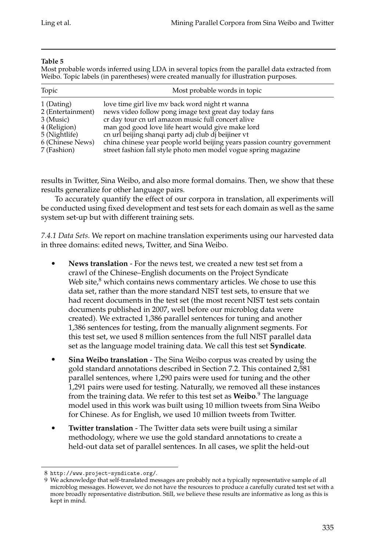#### **Table 5**

Most probable words inferred using LDA in several topics from the parallel data extracted from Weibo. Topic labels (in parentheses) were created manually for illustration purposes.

| Topic                                                                                                            | Most probable words in topic                                                                                                                                                                                                                                                                                                                                                                                               |
|------------------------------------------------------------------------------------------------------------------|----------------------------------------------------------------------------------------------------------------------------------------------------------------------------------------------------------------------------------------------------------------------------------------------------------------------------------------------------------------------------------------------------------------------------|
| 1 (Dating)<br>2 (Entertainment)<br>3 (Music)<br>4 (Religion)<br>5 (Nightlife)<br>6 (Chinese News)<br>7 (Fashion) | love time girl live my back word night rt wanna<br>news video follow pong image text great day today fans<br>cr day tour cn url amazon music full concert alive<br>man god good love life heart would give make lord<br>cn url beijing shanqi party adj club dj beijiner vt<br>china chinese year people world beijing years passion country government<br>street fashion fall style photo men model vogue spring magazine |
|                                                                                                                  |                                                                                                                                                                                                                                                                                                                                                                                                                            |

results in Twitter, Sina Weibo, and also more formal domains. Then, we show that these results generalize for other language pairs.

To accurately quantify the effect of our corpora in translation, all experiments will be conducted using fixed development and test sets for each domain as well as the same system set-up but with different training sets.

*7.4.1 Data Sets.* We report on machine translation experiments using our harvested data in three domains: edited news, Twitter, and Sina Weibo.

- **News translation** For the news test, we created a new test set from a crawl of the Chinese–English documents on the Project Syndicate Web site, $^8$  which contains news commentary articles. We chose to use this data set, rather than the more standard NIST test sets, to ensure that we had recent documents in the test set (the most recent NIST test sets contain documents published in 2007, well before our microblog data were created). We extracted 1,386 parallel sentences for tuning and another 1,386 sentences for testing, from the manually alignment segments. For this test set, we used 8 million sentences from the full NIST parallel data set as the language model training data. We call this test set **Syndicate**.
- **Sina Weibo translation** The Sina Weibo corpus was created by using the gold standard annotations described in Section 7.2. This contained 2,581 parallel sentences, where 1,290 pairs were used for tuning and the other 1,291 pairs were used for testing. Naturally, we removed all these instances from the training data. We refer to this test set as **Weibo**. <sup>9</sup> The language model used in this work was built using 10 million tweets from Sina Weibo for Chinese. As for English, we used 10 million tweets from Twitter.
- **Twitter translation** The Twitter data sets were built using a similar methodology, where we use the gold standard annotations to create a held-out data set of parallel sentences. In all cases, we split the held-out

<sup>8</sup> http://www.project-syndicate.org/.

<sup>9</sup> We acknowledge that self-translated messages are probably not a typically representative sample of all microblog messages. However, we do not have the resources to produce a carefully curated test set with a more broadly representative distribution. Still, we believe these results are informative as long as this is kept in mind.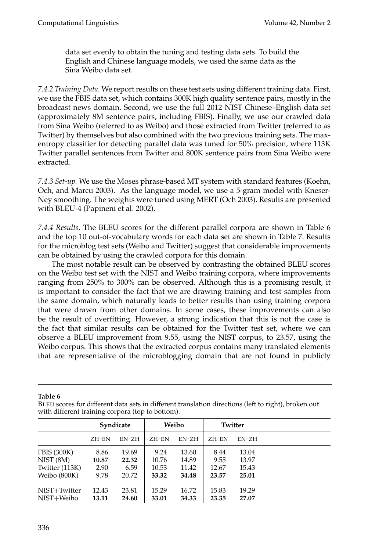data set evenly to obtain the tuning and testing data sets. To build the English and Chinese language models, we used the same data as the Sina Weibo data set.

*7.4.2 Training Data.* We report results on these test sets using different training data. First, we use the FBIS data set, which contains 300K high quality sentence pairs, mostly in the broadcast news domain. Second, we use the full 2012 NIST Chinese–English data set (approximately 8M sentence pairs, including FBIS). Finally, we use our crawled data from Sina Weibo (referred to as Weibo) and those extracted from Twitter (referred to as Twitter) by themselves but also combined with the two previous training sets. The maxentropy classifier for detecting parallel data was tuned for 50% precision, where 113K Twitter parallel sentences from Twitter and 800K sentence pairs from Sina Weibo were extracted.

*7.4.3 Set-up.* We use the Moses phrase-based MT system with standard features (Koehn, Och, and Marcu 2003). As the language model, we use a 5-gram model with Kneser-Ney smoothing. The weights were tuned using MERT (Och 2003). Results are presented with BLEU-4 (Papineni et al. 2002).

*7.4.4 Results.* The BLEU scores for the different parallel corpora are shown in Table 6 and the top 10 out-of-vocabulary words for each data set are shown in Table 7. Results for the microblog test sets (Weibo and Twitter) suggest that considerable improvements can be obtained by using the crawled corpora for this domain.

The most notable result can be observed by contrasting the obtained BLEU scores on the Weibo test set with the NIST and Weibo training corpora, where improvements ranging from 250% to 300% can be observed. Although this is a promising result, it is important to consider the fact that we are drawing training and test samples from the same domain, which naturally leads to better results than using training corpora that were drawn from other domains. In some cases, these improvements can also be the result of overfitting. However, a strong indication that this is not the case is the fact that similar results can be obtained for the Twitter test set, where we can observe a BLEU improvement from 9.55, using the NIST corpus, to 23.57, using the Weibo corpus. This shows that the extracted corpus contains many translated elements that are representative of the microblogging domain that are not found in publicly

| with unterent training corpora (top to bottom).                  |                               |                                 |                                 |                                  |                                |                                  |  |  |  |
|------------------------------------------------------------------|-------------------------------|---------------------------------|---------------------------------|----------------------------------|--------------------------------|----------------------------------|--|--|--|
|                                                                  |                               | Syndicate                       |                                 | Weibo                            |                                | Twitter                          |  |  |  |
|                                                                  | ZH-EN                         | EN-ZH                           | ZH-EN                           | $EN-ZH$                          | ZH-EN                          | $EN-ZH$                          |  |  |  |
| <b>FBIS (300K)</b><br>NIST(8M)<br>Twitter (113K)<br>Weibo (800K) | 8.86<br>10.87<br>2.90<br>9.78 | 19.69<br>22.32<br>6.59<br>20.72 | 9.24<br>10.76<br>10.53<br>33.32 | 13.60<br>14.89<br>11.42<br>34.48 | 8.44<br>9.55<br>12.67<br>23.57 | 13.04<br>13.97<br>15.43<br>25.01 |  |  |  |
| NIST+Twitter<br>NIST+Weibo                                       | 12.43<br>13.11                | 23.81<br>24.60                  | 15.29<br>33.01                  | 16.72<br>34.33                   | 15.83<br>23.35                 | 19.29<br>27.07                   |  |  |  |

**Table 6**

BLEU scores for different data sets in different translation directions (left to right), broken out with different training corpora (top to bottom).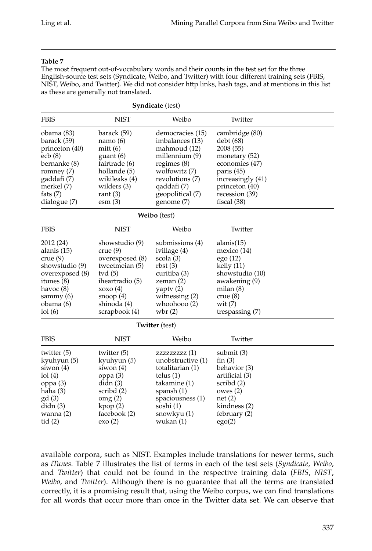#### **Table 7**

The most frequent out-of-vocabulary words and their counts in the test set for the three English-source test sets (Syndicate, Weibo, and Twitter) with four different training sets (FBIS, NIST, Weibo, and Twitter). We did not consider http links, hash tags, and at mentions in this list as these are generally not translated.

| <b>Syndicate</b> (test)                                                                                                                                                                                                                                                                                                                                                                                                                                                               |                                                                                                                                                          |                                                                                                                                                                       |                                                                                                                                                         |  |  |  |  |
|---------------------------------------------------------------------------------------------------------------------------------------------------------------------------------------------------------------------------------------------------------------------------------------------------------------------------------------------------------------------------------------------------------------------------------------------------------------------------------------|----------------------------------------------------------------------------------------------------------------------------------------------------------|-----------------------------------------------------------------------------------------------------------------------------------------------------------------------|---------------------------------------------------------------------------------------------------------------------------------------------------------|--|--|--|--|
| <b>FBIS</b>                                                                                                                                                                                                                                                                                                                                                                                                                                                                           | <b>NIST</b>                                                                                                                                              | Weibo                                                                                                                                                                 | Twitter                                                                                                                                                 |  |  |  |  |
| obama (83)<br>barack (59)<br>democracies (15)<br>barack (59)<br>namo $(6)$<br>imbalances (13)<br>$m$ itt $(6)$<br>mahmoud (12)<br>princeton $(40)$<br>ecb(8)<br>guant (6)<br>millennium (9)<br>bernanke (8)<br>fairtrade (6)<br>regimes $(8)$<br>hollande (5)<br>wolfowitz (7)<br>romney $(7)$<br>wikileaks (4)<br>gaddafi (7)<br>revolutions (7)<br>merkel (7)<br>wilders (3)<br>qaddafi (7)<br>fats $(7)$<br>rant $(3)$<br>geopolitical (7)<br>dialogue (7)<br>esm(3)<br>genome (7) |                                                                                                                                                          | cambridge (80)<br>debt (68)<br>2008 (55)<br>monetary (52)<br>economies (47)<br>paris (45)<br>increasingly (41)<br>princeton $(40)$<br>recession (39)<br>fiscal $(38)$ |                                                                                                                                                         |  |  |  |  |
|                                                                                                                                                                                                                                                                                                                                                                                                                                                                                       |                                                                                                                                                          | Weibo (test)                                                                                                                                                          |                                                                                                                                                         |  |  |  |  |
| <b>FBIS</b>                                                                                                                                                                                                                                                                                                                                                                                                                                                                           | <b>NIST</b>                                                                                                                                              | Weibo                                                                                                                                                                 | Twitter                                                                                                                                                 |  |  |  |  |
| 2012 (24)<br>alanis (15)<br>crue $(9)$<br>showstudio (9)<br>overexposed (8)<br>itunes $(8)$<br>havoc $(8)$<br>sammy (6)<br>obama (6)<br>$\text{tol}(6)$                                                                                                                                                                                                                                                                                                                               | showstudio (9)<br>true(9)<br>overexposed (8)<br>tweetmeian (5)<br>tvd $(5)$<br>iheartradio (5)<br>xoxo(4)<br>snoop $(4)$<br>shinoda (4)<br>scrapbook (4) | submissions (4)<br>ivillage (4)<br>scola (3)<br>rbst(3)<br>curitiba (3)<br>zeman $(2)$<br>yaptv (2)<br>witnessing $(2)$<br>whoohooo $(2)$<br>wbr $(2)$                | alanis $(15)$<br>mexico $(14)$<br>ego (12)<br>kelly(11)<br>showstudio (10)<br>awakening (9)<br>milan $(8)$<br>true(8)<br>wit $(7)$<br>trespassing $(7)$ |  |  |  |  |
|                                                                                                                                                                                                                                                                                                                                                                                                                                                                                       |                                                                                                                                                          | <b>Twitter</b> (test)                                                                                                                                                 |                                                                                                                                                         |  |  |  |  |
| <b>FBIS</b>                                                                                                                                                                                                                                                                                                                                                                                                                                                                           | <b>NIST</b>                                                                                                                                              | Weibo                                                                                                                                                                 | Twitter                                                                                                                                                 |  |  |  |  |
| twitter $(5)$<br>kyuhyun (5)<br>siwon $(4)$<br>$\text{tol}(4)$<br>oppa (3)<br>haha (3)<br>gd (3)<br>didn(3)<br>wanna (2)<br>tid $(2)$                                                                                                                                                                                                                                                                                                                                                 | twitter $(5)$<br>kyuhyun (5)<br>siwon $(4)$<br>oppa(3)<br>$\text{didn}(3)$<br>scribd (2)<br>$\text{omg}(2)$<br>kpop(2)<br>facebook (2)<br>exo(2)         | zzzzzzzz(1)<br>unobstructive (1)<br>totalitarian (1)<br>telus $(1)$<br>takamine (1)<br>spansh $(1)$<br>spaciousness (1)<br>soshi (1)<br>snowkyu (1)<br>wukan $(1)$    | submit $(3)$<br>fin(3)<br>behavior (3)<br>artificial (3)<br>scribd $(2)$<br>owes(2)<br>net(2)<br>kindness (2)<br>february $(2)$<br>ego(2)               |  |  |  |  |

available corpora, such as NIST. Examples include translations for newer terms, such as *iTunes*. Table 7 illustrates the list of terms in each of the test sets (*Syndicate*, *Weibo*, and *Twitter*) that could not be found in the respective training data (*FBIS*, *NIST*, *Weibo*, and *Twitter*). Although there is no guarantee that all the terms are translated correctly, it is a promising result that, using the Weibo corpus, we can find translations for all words that occur more than once in the Twitter data set. We can observe that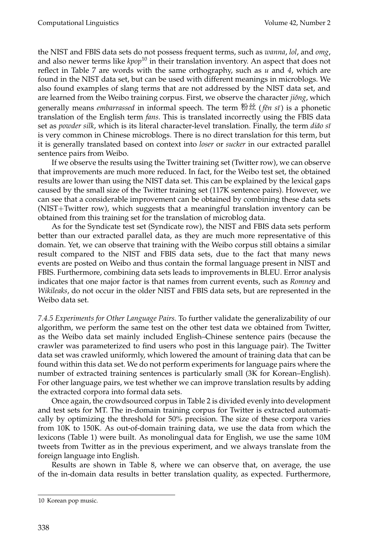the NIST and FBIS data sets do not possess frequent terms, such as *wanna*, *lol*, and *omg*, and also newer terms like *kpop*<sup>10</sup> in their translation inventory. An aspect that does not reflect in Table 7 are words with the same orthography, such as *u* and *4*, which are found in the NIST data set, but can be used with different meanings in microblogs. We also found examples of slang terms that are not addressed by the NIST data set, and are learned from the Weibo training corpus. First, we observe the character *jiǒng*, which generally means *embarrassed* in informal speech. The term  $\frac{1}{2}$  (*fěn* sī) is a phonetic translation of the English term *fans*. This is translated incorrectly using the FBIS data set as *powder silk*, which is its literal character-level translation. Finally, the term *diǎo* sī is very common in Chinese microblogs. There is no direct translation for this term, but it is generally translated based on context into *loser* or *sucker* in our extracted parallel sentence pairs from Weibo.

If we observe the results using the Twitter training set (Twitter row), we can observe that improvements are much more reduced. In fact, for the Weibo test set, the obtained results are lower than using the NIST data set. This can be explained by the lexical gaps caused by the small size of the Twitter training set (117K sentence pairs). However, we can see that a considerable improvement can be obtained by combining these data sets (NIST+Twitter row), which suggests that a meaningful translation inventory can be obtained from this training set for the translation of microblog data.

As for the Syndicate test set (Syndicate row), the NIST and FBIS data sets perform better than our extracted parallel data, as they are much more representative of this domain. Yet, we can observe that training with the Weibo corpus still obtains a similar result compared to the NIST and FBIS data sets, due to the fact that many news events are posted on Weibo and thus contain the formal language present in NIST and FBIS. Furthermore, combining data sets leads to improvements in BLEU. Error analysis indicates that one major factor is that names from current events, such as *Romney* and *Wikileaks*, do not occur in the older NIST and FBIS data sets, but are represented in the Weibo data set.

*7.4.5 Experiments for Other Language Pairs.* To further validate the generalizability of our algorithm, we perform the same test on the other test data we obtained from Twitter, as the Weibo data set mainly included English–Chinese sentence pairs (because the crawler was parameterized to find users who post in this language pair). The Twitter data set was crawled uniformly, which lowered the amount of training data that can be found within this data set. We do not perform experiments for language pairs where the number of extracted training sentences is particularly small (3K for Korean–English). For other language pairs, we test whether we can improve translation results by adding the extracted corpora into formal data sets.

Once again, the crowdsourced corpus in Table 2 is divided evenly into development and test sets for MT. The in-domain training corpus for Twitter is extracted automatically by optimizing the threshold for 50% precision. The size of these corpora varies from 10K to 150K. As out-of-domain training data, we use the data from which the lexicons (Table 1) were built. As monolingual data for English, we use the same 10M tweets from Twitter as in the previous experiment, and we always translate from the foreign language into English.

Results are shown in Table 8, where we can observe that, on average, the use of the in-domain data results in better translation quality, as expected. Furthermore,

<sup>10</sup> Korean pop music.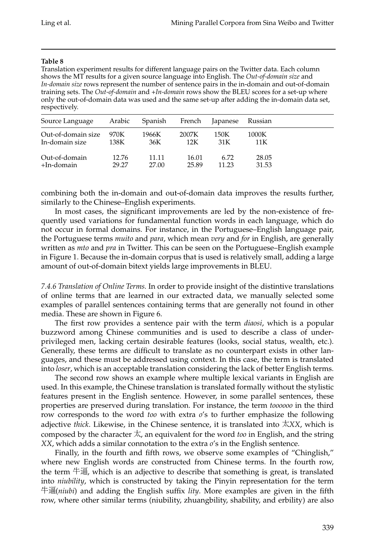#### **Table 8**

Translation experiment results for different language pairs on the Twitter data. Each column shows the MT results for a given source language into English. The *Out-of-domain size* and *In-domain size* rows represent the number of sentence pairs in the in-domain and out-of-domain training sets. The *Out-of-domain* and *+In-domain* rows show the BLEU scores for a set-up where only the out-of-domain data was used and the same set-up after adding the in-domain data set, respectively.

| Source Language    | Arabic | Spanish | French | Japanese | Russian |
|--------------------|--------|---------|--------|----------|---------|
| Out-of-domain size | 970K   | 1966K   | 2007K  | 150K     | 1000K   |
| In-domain size     | 138K   | 36K     | 12K    | 31 K     | 11 K    |
| Out-of-domain      | 12.76  | 11.11   | 16.01  | 6.72     | 28.05   |
| +In-domain         | 29.27  | 27.00   | 25.89  | 11.23    | 31.53   |

combining both the in-domain and out-of-domain data improves the results further, similarly to the Chinese–English experiments.

In most cases, the significant improvements are led by the non-existence of frequently used variations for fundamental function words in each language, which do not occur in formal domains. For instance, in the Portuguese–English language pair, the Portuguese terms *muito* and *para*, which mean *very* and *for* in English, are generally written as *mto* and *pra* in Twitter. This can be seen on the Portuguese–English example in Figure 1. Because the in-domain corpus that is used is relatively small, adding a large amount of out-of-domain bitext yields large improvements in BLEU.

*7.4.6 Translation of Online Terms.* In order to provide insight of the distintive translations of online terms that are learned in our extracted data, we manually selected some examples of parallel sentences containing terms that are generally not found in other media. These are shown in Figure 6.

The first row provides a sentence pair with the term *diaosi*, which is a popular buzzword among Chinese communities and is used to describe a class of underprivileged men, lacking certain desirable features (looks, social status, wealth, etc.). Generally, these terms are difficult to translate as no counterpart exists in other languages, and these must be addressed using context. In this case, the term is translated into *loser*, which is an acceptable translation considering the lack of better English terms.

The second row shows an example where multiple lexical variants in English are used. In this example, the Chinese translation is translated formally without the stylistic features present in the English sentence. However, in some parallel sentences, these properties are preserved during translation. For instance, the term *toooooo* in the third row corresponds to the word *too* with extra *o*'s to further emphasize the following adjective *thick*. Likewise, in the Chinese sentence, it is translated into  $\overline{XXX}$ , which is composed by the character  $\overline{\mathcal{K}}$ , an equivalent for the word *too* in English, and the string *XX*, which adds a similar connotation to the extra *o*'s in the English sentence.

Finally, in the fourth and fifth rows, we observe some examples of "Chinglish," where new English words are constructed from Chinese terms. In the fourth row, the term  $+\bar{H}$ , which is an adjective to describe that something is great, is translated into *niubility*, which is constructed by taking the Pinyin representation for the term  $\dagger \bar{a}(niubi)$  and adding the English suffix *lity*. More examples are given in the fifth row, where other similar terms (niubility, zhuangbility, shability, and erbility) are also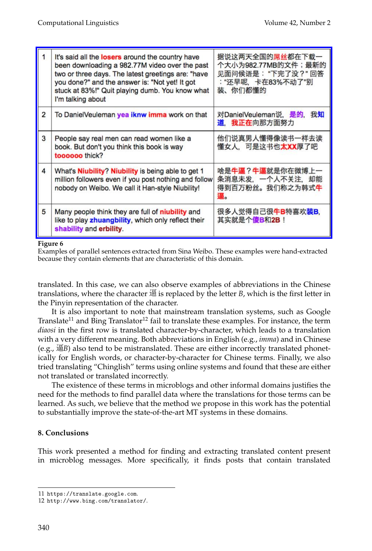|   | It's said all the losers around the country have<br>been downloading a 982.77M video over the past<br>two or three days. The latest greetings are: "have<br>you done?" and the answer is: "Not yet! It got<br>stuck at 83%!" Quit playing dumb. You know what<br>I'm talking about | 据说这两天全国的屌丝都在下载一<br>个大小为982.77MB的文件;最新的<br>见面问候语是: "下完了没?" 回答<br>:"还早呢,卡在83%不动了"别<br>装、你们都懂的 |
|---|------------------------------------------------------------------------------------------------------------------------------------------------------------------------------------------------------------------------------------------------------------------------------------|---------------------------------------------------------------------------------------------|
| 2 | To DanielVeuleman yea iknw imma work on that                                                                                                                                                                                                                                       | 对DanielVeuleman说, 是的, 我知<br><b>道,我正在</b> 向那方面努力                                             |
| 3 | People say real men can read women like a<br>book. But don't you think this book is way<br>toooooo thick?                                                                                                                                                                          | 他们说真男人懂得像读书一样去读<br>懂女人,可是这书也太XX厚了吧                                                          |
| 4 | What's Niubility? Niubility is being able to get 1<br>million followers even if you post nothing and follow<br>nobody on Weibo. We call it Han-style Niubility!                                                                                                                    | 啥是 <b>牛逼?牛逼</b> 就是你在微博上一<br>条消息未发,一个人不关注,却能<br>得到百万粉丝。我们称之为韩式 <mark>牛</mark><br>逼。          |
| 5 | Many people think they are full of niubility and<br>like to play zhuangbility, which only reflect their<br>shability and erbility.                                                                                                                                                 | 很多人觉得自己很牛B特喜欢装B.<br>其实就是个傻B和2B!                                                             |

#### **Figure 6**

Examples of parallel sentences extracted from Sina Weibo. These examples were hand-extracted because they contain elements that are characteristic of this domain.

translated. In this case, we can also observe examples of abbreviations in the Chinese translations, where the character  $\bar{a}$  is replaced by the letter *B*, which is the first letter in the Pinyin representation of the character.

It is also important to note that mainstream translation systems, such as Google Translate<sup>11</sup> and Bing Translator<sup>12</sup> fail to translate these examples. For instance, the term *diaosi* in the first row is translated character-by-character, which leads to a translation with a very different meaning. Both abbreviations in English (e.g., *imma*) and in Chinese (e.g.,  $\overline{\mathbb{B}}$ B) also tend to be mistranslated. These are either incorrectly translated phonetically for English words, or character-by-character for Chinese terms. Finally, we also tried translating "Chinglish" terms using online systems and found that these are either not translated or translated incorrectly.

The existence of these terms in microblogs and other informal domains justifies the need for the methods to find parallel data where the translations for those terms can be learned. As such, we believe that the method we propose in this work has the potential to substantially improve the state-of-the-art MT systems in these domains.

#### **8. Conclusions**

This work presented a method for finding and extracting translated content present in microblog messages. More specifically, it finds posts that contain translated

<sup>11</sup> https://translate.google.com.

<sup>12</sup> http://www.bing.com/translator/.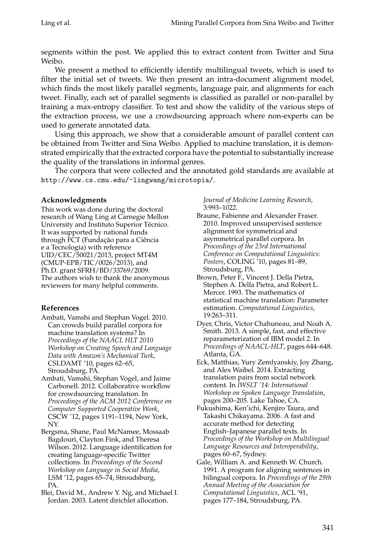segments within the post. We applied this to extract content from Twitter and Sina Weibo.

We present a method to efficiently identify multilingual tweets, which is used to filter the initial set of tweets. We then present an intra-document alignment model, which finds the most likely parallel segments, language pair, and alignments for each tweet. Finally, each set of parallel segments is classified as parallel or non-parallel by training a max-entropy classifier. To test and show the validity of the various steps of the extraction process, we use a crowdsourcing approach where non-experts can be used to generate annotated data.

Using this approach, we show that a considerable amount of parallel content can be obtained from Twitter and Sina Weibo. Applied to machine translation, it is demonstrated empirically that the extracted corpora have the potential to substantially increase the quality of the translations in informal genres.

The corpora that were collected and the annotated gold standards are available at http://www.cs.cmu.edu/~lingwang/microtopia/.

#### **Acknowledgments**

This work was done during the doctoral research of Wang Ling at Carnegie Mellon University and Instituto Superior Técnico. It was supported by national funds through FCT (Fundação para a Ciência e a Tecnologia) with reference UID/CEC/50021/2013, project MT4M (CMUP-EPB/TIC/0026/2013), and Ph.D. grant SFRH/BD/33769/2009. The authors wish to thank the anonymous reviewers for many helpful comments.

### **References**

- Ambati, Vamshi and Stephan Vogel. 2010. Can crowds build parallel corpora for machine translation systems? In *Proceedings of the NAACL HLT 2010 Workshop on Creating Speech and Language Data with Amazon's Mechanical Turk*, CSLDAMT '10, pages 62–65, Stroudsburg, PA.
- Ambati, Vamshi, Stephan Vogel, and Jaime Carbonell. 2012. Collaborative workflow for crowdsourcing translation. In *Proceedings of the ACM 2012 Conference on Computer Supported Cooperative Work*, CSCW '12, pages 1191–1194, New York, NY.
- Bergsma, Shane, Paul McNamee, Mossaab Bagdouri, Clayton Fink, and Theresa Wilson. 2012. Language identification for creating language-specific Twitter collections. In *Proceedings of the Second Workshop on Language in Social Media*, LSM '12, pages 65–74, Stroudsburg, PA.
- Blei, David M., Andrew Y. Ng, and Michael I. Jordan. 2003. Latent dirichlet allocation.

#### *Journal of Medicine Learning Research*, 3:993–1022.

- Braune, Fabienne and Alexander Fraser. 2010. Improved unsupervised sentence alignment for symmetrical and asymmetrical parallel corpora. In *Proceedings of the 23rd International Conference on Computational Linguistics: Posters*, COLING '10, pages 81–89, Stroudsburg, PA.
- Brown, Peter F., Vincent J. Della Pietra, Stephen A. Della Pietra, and Robert L. Mercer. 1993. The mathematics of statistical machine translation: Parameter estimation. *Computational Linguistics*, 19:263–311.
- Dyer, Chris, Victor Chahuneau, and Noah A. Smith. 2013. A simple, fast, and effective reparameterization of IBM model 2. In *Proceedings of NAACL-HLT*, pages 644–648. Atlanta, GA.
- Eck, Matthias, Yury Zemlyanskiy, Joy Zhang, and Alex Waibel. 2014. Extracting translation pairs from social network content. In *IWSLT '14: International Workshop on Spoken Language Translation*, pages 200–205. Lake Tahoe, CA.
- Fukushima, Ken'ichi, Kenjiro Taura, and Takashi Chikayama. 2006. A fast and accurate method for detecting English–Japanese parallel texts. In *Proceedings of the Workshop on Multilingual Language Resources and Interoperability*, pages 60–67, Sydney.
- Gale, William A. and Kenneth W. Church. 1991. A program for aligning sentences in bilingual corpora. In *Proceedings of the 29th Annual Meeting of the Association for Computational Linguistics*, ACL '91, pages 177–184, Stroudsburg, PA.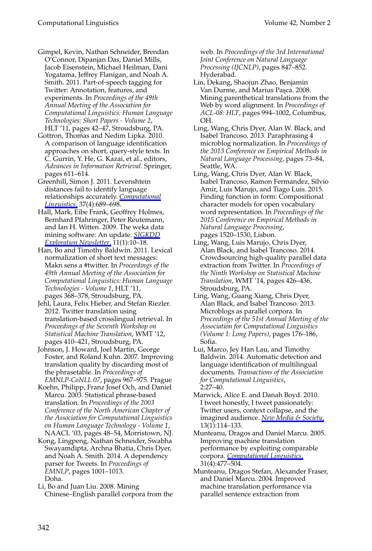- Gimpel, Kevin, Nathan Schneider, Brendan O'Connor, Dipanjan Das, Daniel Mills, Jacob Eisenstein, Michael Heilman, Dani Yogatama, Jeffrey Flanigan, and Noah A. Smith. 2011. Part-of-speech tagging for Twitter: Annotation, features, and experiments. In *Proceedings of the 49th Annual Meeting of the Association for Computational Linguistics: Human Language Technologies: Short Papers - Volume 2*, HLT '11, pages 42–47, Stroudsburg, PA.
- Gottron, Thomas and Nedim Lipka. 2010. A comparison of language identification approaches on short, query-style texts. In C. Gurrin, Y. He, G. Kazai, et al., editors, *Advances in Information Retrieval*. Springer, pages 611–614.
- Greenhill, Simon J. 2011. Levenshtein distances fail to identify language relationships accurately. *[Computational](http://www.mitpressjournals.org/action/showLinks?system=10.1162%2FCOLI_a_00073) [Linguistics](http://www.mitpressjournals.org/action/showLinks?system=10.1162%2FCOLI_a_00073)*, 37(4):689–698.
- Hall, Mark, Eibe Frank, Geoffrey Holmes, Bernhard Pfahringer, Peter Reutemann, and Ian H. Witten. 2009. The weka data mining software: An update. *[SIGKDD](http://www.mitpressjournals.org/action/showLinks?crossref=10.1145%2F1656274.1656278) [Exploration Newsletter](http://www.mitpressjournals.org/action/showLinks?crossref=10.1145%2F1656274.1656278)*, 11(1):10–18.
- Han, Bo and Timothy Baldwin. 2011. Lexical normalization of short text messages: Makn sens a #twitter. In *Proceedings of the 49th Annual Meeting of the Association for Computational Linguistics: Human Language Technologies - Volume 1*, HLT '11, pages 368–378, Stroudsburg, PA.
- Jehl, Laura, Felix Hieber, and Stefan Riezler. 2012. Twitter translation using translation-based crosslingual retrieval. In *Proceedings of the Seventh Workshop on Statistical Machine Translation*, WMT '12, pages 410–421, Stroudsburg, PA.
- Johnson, J. Howard, Joel Martin, George Foster, and Roland Kuhn. 2007. Improving translation quality by discarding most of the phrasetable. In *Proceedings of EMNLP-CoNLL 07*, pages 967–975. Prague
- Koehn, Philipp, Franz Josef Och, and Daniel Marcu. 2003. Statistical phrase-based translation. In *Proceedings of the 2003 Conference of the North American Chapter of the Association for Computational Linguistics on Human Language Technology - Volume 1*, NAACL '03, pages 48–54, Morristown, NJ.
- Kong, Lingpeng, Nathan Schneider, Swabha Swayamdipta, Archna Bhatia, Chris Dyer, and Noah A. Smith. 2014. A dependency parser for Tweets. In *Proceedings of EMNLP*, pages 1001–1013. Doha.

Li, Bo and Juan Liu. 2008. Mining Chinese–English parallel corpora from the web. In *Proceedings of the 3rd International Joint Conference on Natural Language Processing (IJCNLP)*, pages 847–852. Hyderabad.

- Lin, Dekang, Shaojun Zhao, Benjamin Van Durme, and Marius Paşca. 2008. Mining parenthetical translations from the Web by word alignment. In *Proceedings of ACL-08: HLT*, pages 994–1002, Columbus, OH.
- Ling, Wang, Chris Dyer, Alan W. Black, and Isabel Trancoso. 2013. Paraphrasing 4 microblog normalization. In *Proceedings of the 2013 Conference on Empirical Methods in Natural Language Processing*, pages 73–84, Seattle, WA.
- Ling, Wang, Chris Dyer, Alan W. Black, Isabel Trancoso, Ramon Fermandez, Silvio Amir, Luis Marujo, and Tiago Luis. 2015. Finding function in form: Compositional character models for open vocabulary word representation. In *Proceedings of the 2015 Conference on Empirical Methods in Natural Language Processing*, pages 1520–1530, Lisbon.
- Ling, Wang, Luis Marujo, Chris Dyer, Alan Black, and Isabel Trancoso. 2014. Crowdsourcing high-quality parallel data extraction from Twitter. In *Proceedings of the Ninth Workshop on Statistical Machine Translation*, WMT '14, pages 426–436, Stroudsburg, PA.
- Ling, Wang, Guang Xiang, Chris Dyer, Alan Black, and Isabel Trancoso. 2013. Microblogs as parallel corpora. In *Proceedings of the 51st Annual Meeting of the Association for Computational Linguistics (Volume 1: Long Papers)*, pages 176–186, Sofia.
- Lui, Marco, Jey Han Lau, and Timothy Baldwin. 2014. Automatic detection and language identification of multilingual documents. *Transactions of the Association for Computational Linguistics*, 2:27–40.
- Marwick, Alice E. and Danah Boyd. 2010. I tweet honestly, I tweet passionately: Twitter users, context collapse, and the imagined audience. *[New Media & Society](http://www.mitpressjournals.org/action/showLinks?crossref=10.1177%2F1461444810365313)*, 13(1):114–133.
- Munteanu, Dragos and Daniel Marcu. 2005. Improving machine translation performance by exploiting comparable corpora. *[Computational Linguistics](http://www.mitpressjournals.org/action/showLinks?system=10.1162%2F089120105775299168)*, 31(4):477–504.
- Munteanu, Dragos Stefan, Alexander Fraser, and Daniel Marcu. 2004. Improved machine translation performance via parallel sentence extraction from